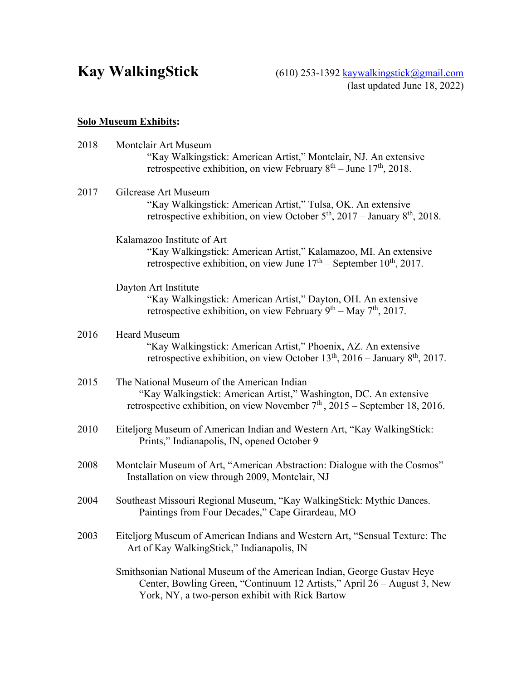Kay WalkingStick (610) 253-1392 [kaywalkingstick@gmail.com](mailto:kaywalkingstick@gmail.com) (last updated June 18, 2022)

# **Solo Museum Exhibits:**

| 2018 | Montclair Art Museum<br>"Kay Walkingstick: American Artist," Montclair, NJ. An extensive<br>retrospective exhibition, on view February $8th$ – June 17 <sup>th</sup> , 2018.                         |  |  |  |  |  |
|------|------------------------------------------------------------------------------------------------------------------------------------------------------------------------------------------------------|--|--|--|--|--|
| 2017 | Gilcrease Art Museum<br>"Kay Walkingstick: American Artist," Tulsa, OK. An extensive<br>retrospective exhibition, on view October $5th$ , 2017 – January $8th$ , 2018.                               |  |  |  |  |  |
|      | Kalamazoo Institute of Art<br>"Kay Walkingstick: American Artist," Kalamazoo, MI. An extensive<br>retrospective exhibition, on view June $17th$ – September $10th$ , 2017.                           |  |  |  |  |  |
|      | Dayton Art Institute<br>"Kay Walkingstick: American Artist," Dayton, OH. An extensive<br>retrospective exhibition, on view February $9th - May 7th$ , 2017.                                          |  |  |  |  |  |
| 2016 | <b>Heard Museum</b><br>"Kay Walkingstick: American Artist," Phoenix, AZ. An extensive<br>retrospective exhibition, on view October $13th$ , 2016 – January $8th$ , 2017.                             |  |  |  |  |  |
| 2015 | The National Museum of the American Indian<br>"Kay Walkingstick: American Artist," Washington, DC. An extensive<br>retrospective exhibition, on view November $7th$ , 2015 – September 18, 2016.     |  |  |  |  |  |
| 2010 | Eiteljorg Museum of American Indian and Western Art, "Kay WalkingStick:<br>Prints," Indianapolis, IN, opened October 9                                                                               |  |  |  |  |  |
| 2008 | Montclair Museum of Art, "American Abstraction: Dialogue with the Cosmos"<br>Installation on view through 2009, Montclair, NJ                                                                        |  |  |  |  |  |
| 2004 | Southeast Missouri Regional Museum, "Kay WalkingStick: Mythic Dances.<br>Paintings from Four Decades," Cape Girardeau, MO                                                                            |  |  |  |  |  |
| 2003 | Eiteljorg Museum of American Indians and Western Art, "Sensual Texture: The<br>Art of Kay WalkingStick," Indianapolis, IN                                                                            |  |  |  |  |  |
|      | Smithsonian National Museum of the American Indian, George Gustav Heye<br>Center, Bowling Green, "Continuum 12 Artists," April 26 – August 3, New<br>York, NY, a two-person exhibit with Rick Bartow |  |  |  |  |  |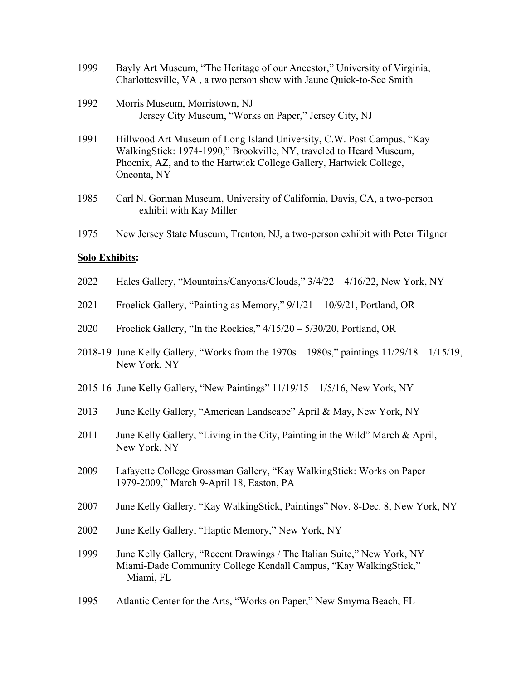| 1999 | Bayly Art Museum, "The Heritage of our Ancestor," University of Virginia,<br>Charlottesville, VA, a two person show with Jaune Quick-to-See Smith                                                                                  |
|------|------------------------------------------------------------------------------------------------------------------------------------------------------------------------------------------------------------------------------------|
| 1992 | Morris Museum, Morristown, NJ<br>Jersey City Museum, "Works on Paper," Jersey City, NJ                                                                                                                                             |
| 1991 | Hillwood Art Museum of Long Island University, C.W. Post Campus, "Kay<br>WalkingStick: 1974-1990," Brookville, NY, traveled to Heard Museum,<br>Phoenix, AZ, and to the Hartwick College Gallery, Hartwick College,<br>Oneonta, NY |

- 1985 Carl N. Gorman Museum, University of California, Davis, CA, a two-person exhibit with Kay Miller
- 1975 New Jersey State Museum, Trenton, NJ, a two-person exhibit with Peter Tilgner

## **Solo Exhibits:**

- 2022 Hales Gallery, "Mountains/Canyons/Clouds," 3/4/22 4/16/22, New York, NY
- 2021 Froelick Gallery, "Painting as Memory," 9/1/21 10/9/21, Portland, OR
- 2020 Froelick Gallery, "In the Rockies," 4/15/20 5/30/20, Portland, OR
- 2018-19 June Kelly Gallery, "Works from the 1970s 1980s," paintings 11/29/18 1/15/19, New York, NY
- 2015-16 June Kelly Gallery, "New Paintings" 11/19/15 1/5/16, New York, NY
- 2013 June Kelly Gallery, "American Landscape" April & May, New York, NY
- 2011 June Kelly Gallery, "Living in the City, Painting in the Wild" March & April, New York, NY
- 2009 Lafayette College Grossman Gallery, "Kay WalkingStick: Works on Paper 1979-2009," March 9-April 18, Easton, PA
- 2007 June Kelly Gallery, "Kay WalkingStick, Paintings" Nov. 8-Dec. 8, New York, NY
- 2002 June Kelly Gallery, "Haptic Memory," New York, NY
- 1999 June Kelly Gallery, "Recent Drawings / The Italian Suite," New York, NY Miami-Dade Community College Kendall Campus, "Kay WalkingStick," Miami, FL
- 1995 Atlantic Center for the Arts, "Works on Paper," New Smyrna Beach, FL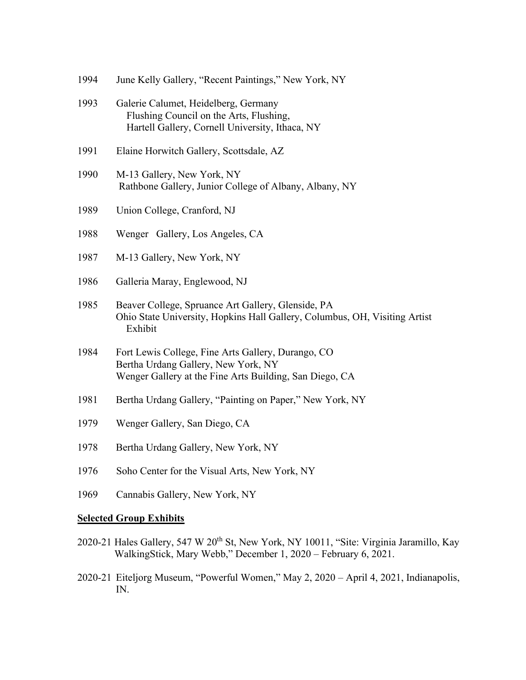| 1994 | June Kelly Gallery, "Recent Paintings," New York, NY                                                                                                                   |  |  |  |  |
|------|------------------------------------------------------------------------------------------------------------------------------------------------------------------------|--|--|--|--|
| 1993 | Galerie Calumet, Heidelberg, Germany<br>Flushing Council on the Arts, Flushing,<br>Hartell Gallery, Cornell University, Ithaca, NY                                     |  |  |  |  |
| 1991 | Elaine Horwitch Gallery, Scottsdale, AZ                                                                                                                                |  |  |  |  |
| 1990 | M-13 Gallery, New York, NY<br>Rathbone Gallery, Junior College of Albany, Albany, NY                                                                                   |  |  |  |  |
| 1989 | Union College, Cranford, NJ                                                                                                                                            |  |  |  |  |
| 1988 | Wenger Gallery, Los Angeles, CA                                                                                                                                        |  |  |  |  |
| 1987 | M-13 Gallery, New York, NY                                                                                                                                             |  |  |  |  |
| 1986 | Galleria Maray, Englewood, NJ                                                                                                                                          |  |  |  |  |
| 1985 | Beaver College, Spruance Art Gallery, Glenside, PA<br>Ohio State University, Hopkins Hall Gallery, Columbus, OH, Visiting Artist<br>Exhibit                            |  |  |  |  |
| 1984 | Fort Lewis College, Fine Arts Gallery, Durango, CO<br>Bertha Urdang Gallery, New York, NY<br>Wenger Gallery at the Fine Arts Building, San Diego, CA                   |  |  |  |  |
| 1981 | Bertha Urdang Gallery, "Painting on Paper," New York, NY                                                                                                               |  |  |  |  |
| 1979 | Wenger Gallery, San Diego, CA                                                                                                                                          |  |  |  |  |
| 1978 | Bertha Urdang Gallery, New York, NY                                                                                                                                    |  |  |  |  |
| 1976 | Soho Center for the Visual Arts, New York, NY                                                                                                                          |  |  |  |  |
| 1969 | Cannabis Gallery, New York, NY                                                                                                                                         |  |  |  |  |
|      | <b>Selected Group Exhibits</b>                                                                                                                                         |  |  |  |  |
|      | 2020-21 Hales Gallery, 547 W 20 <sup>th</sup> St, New York, NY 10011, "Site: Virginia Jaramillo, Kay<br>WalkingStick, Mary Webb," December 1, 2020 - February 6, 2021. |  |  |  |  |

2020-21 Eiteljorg Museum, "Powerful Women," May 2, 2020 – April 4, 2021, Indianapolis, IN.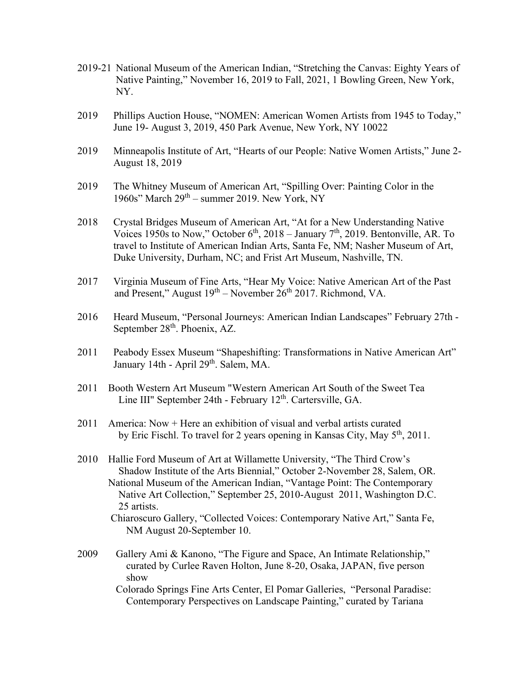- 2019-21 National Museum of the American Indian, "Stretching the Canvas: Eighty Years of Native Painting," November 16, 2019 to Fall, 2021, 1 Bowling Green, New York, NY.
- 2019 Phillips Auction House, "NOMEN: American Women Artists from 1945 to Today," June 19- August 3, 2019, 450 Park Avenue, New York, NY 10022
- 2019 Minneapolis Institute of Art, "Hearts of our People: Native Women Artists," June 2- August 18, 2019
- 2019 The Whitney Museum of American Art, "Spilling Over: Painting Color in the 1960s" March 29<sup>th</sup> – summer 2019. New York, NY
- 2018 Crystal Bridges Museum of American Art, "At for a New Understanding Native Voices 1950s to Now," October  $6<sup>th</sup>$ , 2018 – January 7<sup>th</sup>, 2019. Bentonville, AR. To travel to Institute of American Indian Arts, Santa Fe, NM; Nasher Museum of Art, Duke University, Durham, NC; and Frist Art Museum, Nashville, TN.
- 2017 Virginia Museum of Fine Arts, "Hear My Voice: Native American Art of the Past and Present," August  $19^{th}$  – November  $26^{th}$  2017. Richmond, VA.
- 2016 Heard Museum, "Personal Journeys: American Indian Landscapes" February 27th September 28<sup>th</sup>. Phoenix, AZ.
- 2011 Peabody Essex Museum "Shapeshifting: Transformations in Native American Art" January 14th - April 29<sup>th</sup>. Salem, MA.
- 2011 Booth Western Art Museum "Western American Art South of the Sweet Tea Line III" September 24th - February 12<sup>th</sup>. Cartersville, GA.
- 2011 America: Now + Here an exhibition of visual and verbal artists curated by Eric Fischl. To travel for 2 years opening in Kansas City, May 5<sup>th</sup>, 2011.
- 2010 Hallie Ford Museum of Art at Willamette University, "The Third Crow's Shadow Institute of the Arts Biennial," October 2-November 28, Salem, OR. National Museum of the American Indian, "Vantage Point: The Contemporary Native Art Collection," September 25, 2010-August 2011, Washington D.C. 25 artists.
	- Chiaroscuro Gallery, "Collected Voices: Contemporary Native Art," Santa Fe, NM August 20-September 10.
- 2009 Gallery Ami & Kanono, "The Figure and Space, An Intimate Relationship," curated by Curlee Raven Holton, June 8-20, Osaka, JAPAN, five person show

Colorado Springs Fine Arts Center, El Pomar Galleries, "Personal Paradise: Contemporary Perspectives on Landscape Painting," curated by Tariana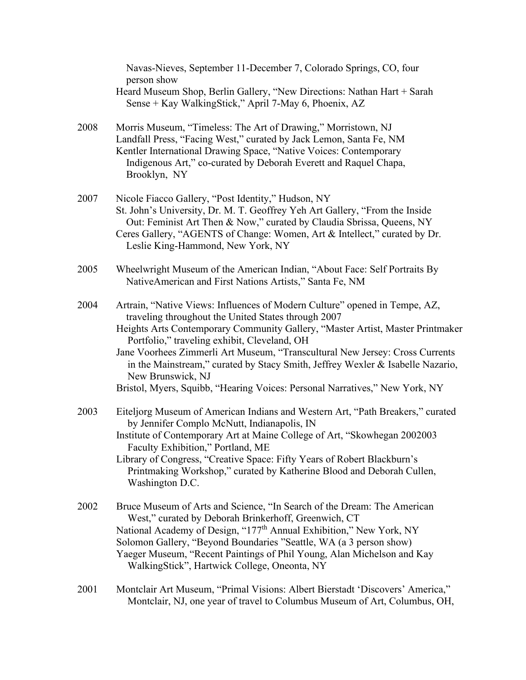|      | Navas-Nieves, September 11-December 7, Colorado Springs, CO, four<br>person show                                                                                                                                                                                                                                                                                                                                                                                                                                                          |
|------|-------------------------------------------------------------------------------------------------------------------------------------------------------------------------------------------------------------------------------------------------------------------------------------------------------------------------------------------------------------------------------------------------------------------------------------------------------------------------------------------------------------------------------------------|
|      | Heard Museum Shop, Berlin Gallery, "New Directions: Nathan Hart + Sarah<br>Sense + Kay WalkingStick," April 7-May 6, Phoenix, AZ                                                                                                                                                                                                                                                                                                                                                                                                          |
| 2008 | Morris Museum, "Timeless: The Art of Drawing," Morristown, NJ<br>Landfall Press, "Facing West," curated by Jack Lemon, Santa Fe, NM<br>Kentler International Drawing Space, "Native Voices: Contemporary<br>Indigenous Art," co-curated by Deborah Everett and Raquel Chapa,<br>Brooklyn, NY                                                                                                                                                                                                                                              |
| 2007 | Nicole Fiacco Gallery, "Post Identity," Hudson, NY<br>St. John's University, Dr. M. T. Geoffrey Yeh Art Gallery, "From the Inside<br>Out: Feminist Art Then & Now," curated by Claudia Sbrissa, Queens, NY<br>Ceres Gallery, "AGENTS of Change: Women, Art & Intellect," curated by Dr.<br>Leslie King-Hammond, New York, NY                                                                                                                                                                                                              |
| 2005 | Wheelwright Museum of the American Indian, "About Face: Self Portraits By<br>NativeAmerican and First Nations Artists," Santa Fe, NM                                                                                                                                                                                                                                                                                                                                                                                                      |
| 2004 | Artrain, "Native Views: Influences of Modern Culture" opened in Tempe, AZ,<br>traveling throughout the United States through 2007<br>Heights Arts Contemporary Community Gallery, "Master Artist, Master Printmaker<br>Portfolio," traveling exhibit, Cleveland, OH<br>Jane Voorhees Zimmerli Art Museum, "Transcultural New Jersey: Cross Currents<br>in the Mainstream," curated by Stacy Smith, Jeffrey Wexler & Isabelle Nazario,<br>New Brunswick, NJ<br>Bristol, Myers, Squibb, "Hearing Voices: Personal Narratives," New York, NY |
| 2003 | Eiteljorg Museum of American Indians and Western Art, "Path Breakers," curated<br>by Jennifer Complo McNutt, Indianapolis, IN<br>Institute of Contemporary Art at Maine College of Art, "Skowhegan 2002003<br>Faculty Exhibition," Portland, ME<br>Library of Congress, "Creative Space: Fifty Years of Robert Blackburn's<br>Printmaking Workshop," curated by Katherine Blood and Deborah Cullen,<br>Washington D.C.                                                                                                                    |
| 2002 | Bruce Museum of Arts and Science, "In Search of the Dream: The American<br>West," curated by Deborah Brinkerhoff, Greenwich, CT<br>National Academy of Design, "177 <sup>th</sup> Annual Exhibition," New York, NY<br>Solomon Gallery, "Beyond Boundaries "Seattle, WA (a 3 person show)<br>Yaeger Museum, "Recent Paintings of Phil Young, Alan Michelson and Kay<br>WalkingStick", Hartwick College, Oneonta, NY                                                                                                                        |
| 2001 | Montclair Art Museum, "Primal Visions: Albert Bierstadt 'Discovers' America,"                                                                                                                                                                                                                                                                                                                                                                                                                                                             |

Montclair, NJ, one year of travel to Columbus Museum of Art, Columbus, OH,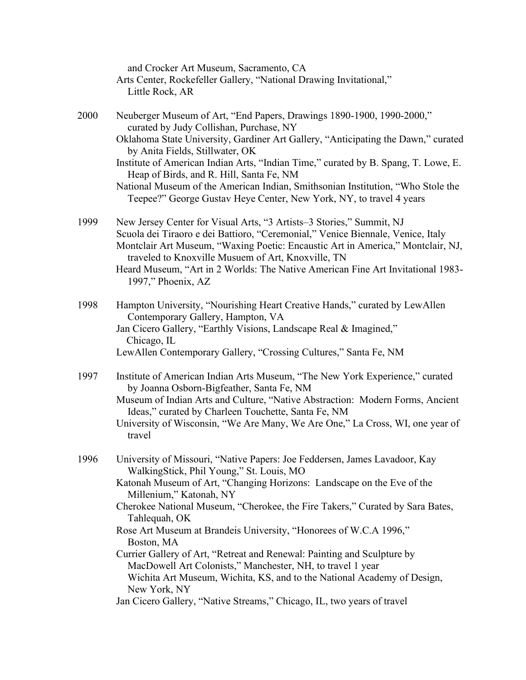|      | and Crocker Art Museum, Sacramento, CA<br>Arts Center, Rockefeller Gallery, "National Drawing Invitational,"<br>Little Rock, AR                                                                                                                                                                                                                                                     |
|------|-------------------------------------------------------------------------------------------------------------------------------------------------------------------------------------------------------------------------------------------------------------------------------------------------------------------------------------------------------------------------------------|
| 2000 | Neuberger Museum of Art, "End Papers, Drawings 1890-1900, 1990-2000,"<br>curated by Judy Collishan, Purchase, NY                                                                                                                                                                                                                                                                    |
|      | Oklahoma State University, Gardiner Art Gallery, "Anticipating the Dawn," curated<br>by Anita Fields, Stillwater, OK                                                                                                                                                                                                                                                                |
|      | Institute of American Indian Arts, "Indian Time," curated by B. Spang, T. Lowe, E.<br>Heap of Birds, and R. Hill, Santa Fe, NM                                                                                                                                                                                                                                                      |
|      | National Museum of the American Indian, Smithsonian Institution, "Who Stole the<br>Teepee?" George Gustav Heye Center, New York, NY, to travel 4 years                                                                                                                                                                                                                              |
| 1999 | New Jersey Center for Visual Arts, "3 Artists-3 Stories," Summit, NJ<br>Scuola dei Tiraoro e dei Battioro, "Ceremonial," Venice Biennale, Venice, Italy<br>Montclair Art Museum, "Waxing Poetic: Encaustic Art in America," Montclair, NJ,<br>traveled to Knoxville Musuem of Art, Knoxville, TN<br>Heard Museum, "Art in 2 Worlds: The Native American Fine Art Invitational 1983- |
|      | 1997," Phoenix, AZ                                                                                                                                                                                                                                                                                                                                                                  |
| 1998 | Hampton University, "Nourishing Heart Creative Hands," curated by LewAllen<br>Contemporary Gallery, Hampton, VA                                                                                                                                                                                                                                                                     |
|      | Jan Cicero Gallery, "Earthly Visions, Landscape Real & Imagined,"<br>Chicago, IL                                                                                                                                                                                                                                                                                                    |
|      | LewAllen Contemporary Gallery, "Crossing Cultures," Santa Fe, NM                                                                                                                                                                                                                                                                                                                    |
| 1997 | Institute of American Indian Arts Museum, "The New York Experience," curated<br>by Joanna Osborn-Bigfeather, Santa Fe, NM                                                                                                                                                                                                                                                           |
|      | Museum of Indian Arts and Culture, "Native Abstraction: Modern Forms, Ancient<br>Ideas," curated by Charleen Touchette, Santa Fe, NM                                                                                                                                                                                                                                                |
|      | University of Wisconsin, "We Are Many, We Are One," La Cross, WI, one year of<br>travel                                                                                                                                                                                                                                                                                             |
| 1996 | University of Missouri, "Native Papers: Joe Feddersen, James Lavadoor, Kay<br>WalkingStick, Phil Young," St. Louis, MO                                                                                                                                                                                                                                                              |
|      | Katonah Museum of Art, "Changing Horizons: Landscape on the Eve of the<br>Millenium," Katonah, NY                                                                                                                                                                                                                                                                                   |
|      | Cherokee National Museum, "Cherokee, the Fire Takers," Curated by Sara Bates,<br>Tahlequah, OK                                                                                                                                                                                                                                                                                      |
|      | Rose Art Museum at Brandeis University, "Honorees of W.C.A 1996,"<br>Boston, MA                                                                                                                                                                                                                                                                                                     |
|      | Currier Gallery of Art, "Retreat and Renewal: Painting and Sculpture by<br>MacDowell Art Colonists," Manchester, NH, to travel 1 year<br>Wichita Art Museum, Wichita, KS, and to the National Academy of Design,<br>New York, NY                                                                                                                                                    |
|      | Jan Cicero Gallery, "Native Streams," Chicago, IL, two years of travel                                                                                                                                                                                                                                                                                                              |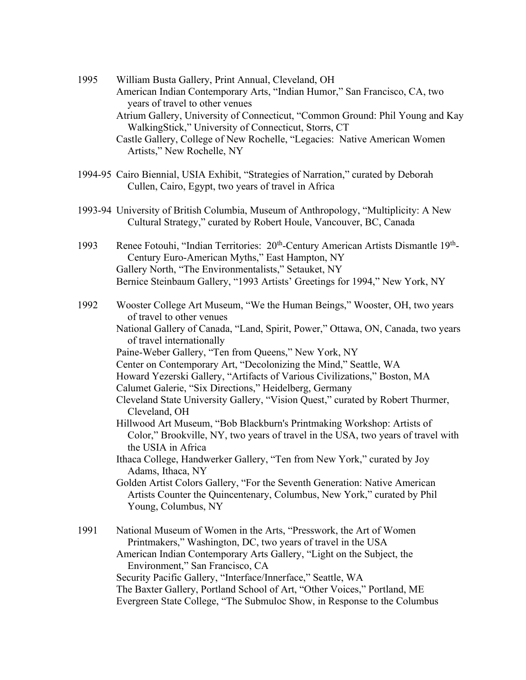- 1995 William Busta Gallery, Print Annual, Cleveland, OH American Indian Contemporary Arts, "Indian Humor," San Francisco, CA, two years of travel to other venues Atrium Gallery, University of Connecticut, "Common Ground: Phil Young and Kay WalkingStick," University of Connecticut, Storrs, CT Castle Gallery, College of New Rochelle, "Legacies: Native American Women Artists," New Rochelle, NY
- 1994-95 Cairo Biennial, USIA Exhibit, "Strategies of Narration," curated by Deborah Cullen, Cairo, Egypt, two years of travel in Africa
- 1993-94 University of British Columbia, Museum of Anthropology, "Multiplicity: A New Cultural Strategy," curated by Robert Houle, Vancouver, BC, Canada
- 1993 Renee Fotouhi, "Indian Territories: 20<sup>th</sup>-Century American Artists Dismantle 19<sup>th</sup>-Century Euro-American Myths," East Hampton, NY Gallery North, "The Environmentalists," Setauket, NY Bernice Steinbaum Gallery, "1993 Artists' Greetings for 1994," New York, NY
- 1992 Wooster College Art Museum, "We the Human Beings," Wooster, OH, two years of travel to other venues
	- National Gallery of Canada, "Land, Spirit, Power," Ottawa, ON, Canada, two years of travel internationally
	- Paine-Weber Gallery, "Ten from Queens," New York, NY
	- Center on Contemporary Art, "Decolonizing the Mind," Seattle, WA
	- Howard Yezerski Gallery, "Artifacts of Various Civilizations," Boston, MA
	- Calumet Galerie, "Six Directions," Heidelberg, Germany

Cleveland State University Gallery, "Vision Quest," curated by Robert Thurmer, Cleveland, OH

- Hillwood Art Museum, "Bob Blackburn's Printmaking Workshop: Artists of Color," Brookville, NY, two years of travel in the USA, two years of travel with the USIA in Africa
- Ithaca College, Handwerker Gallery, "Ten from New York," curated by Joy Adams, Ithaca, NY
- Golden Artist Colors Gallery, "For the Seventh Generation: Native American Artists Counter the Quincentenary, Columbus, New York," curated by Phil Young, Columbus, NY

1991 National Museum of Women in the Arts, "Presswork, the Art of Women Printmakers," Washington, DC, two years of travel in the USA American Indian Contemporary Arts Gallery, "Light on the Subject, the Environment," San Francisco, CA Security Pacific Gallery, "Interface/Innerface," Seattle, WA The Baxter Gallery, Portland School of Art, "Other Voices," Portland, ME Evergreen State College, "The Submuloc Show, in Response to the Columbus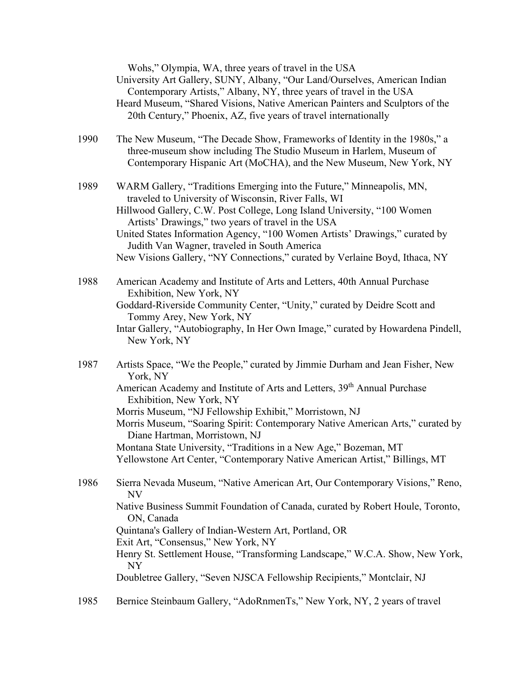|      | Wohs," Olympia, WA, three years of travel in the USA<br>University Art Gallery, SUNY, Albany, "Our Land/Ourselves, American Indian<br>Contemporary Artists," Albany, NY, three years of travel in the USA<br>Heard Museum, "Shared Visions, Native American Painters and Sculptors of the<br>20th Century," Phoenix, AZ, five years of travel internationally                                                                                                                                                                                 |
|------|-----------------------------------------------------------------------------------------------------------------------------------------------------------------------------------------------------------------------------------------------------------------------------------------------------------------------------------------------------------------------------------------------------------------------------------------------------------------------------------------------------------------------------------------------|
| 1990 | The New Museum, "The Decade Show, Frameworks of Identity in the 1980s," a<br>three-museum show including The Studio Museum in Harlem, Museum of<br>Contemporary Hispanic Art (MoCHA), and the New Museum, New York, NY                                                                                                                                                                                                                                                                                                                        |
| 1989 | WARM Gallery, "Traditions Emerging into the Future," Minneapolis, MN,<br>traveled to University of Wisconsin, River Falls, WI<br>Hillwood Gallery, C.W. Post College, Long Island University, "100 Women<br>Artists' Drawings," two years of travel in the USA<br>United States Information Agency, "100 Women Artists' Drawings," curated by<br>Judith Van Wagner, traveled in South America<br>New Visions Gallery, "NY Connections," curated by Verlaine Boyd, Ithaca, NY                                                                  |
| 1988 | American Academy and Institute of Arts and Letters, 40th Annual Purchase<br>Exhibition, New York, NY<br>Goddard-Riverside Community Center, "Unity," curated by Deidre Scott and<br>Tommy Arey, New York, NY<br>Intar Gallery, "Autobiography, In Her Own Image," curated by Howardena Pindell,<br>New York, NY                                                                                                                                                                                                                               |
| 1987 | Artists Space, "We the People," curated by Jimmie Durham and Jean Fisher, New<br>York, NY<br>American Academy and Institute of Arts and Letters, 39 <sup>th</sup> Annual Purchase<br>Exhibition, New York, NY<br>Morris Museum, "NJ Fellowship Exhibit," Morristown, NJ<br>Morris Museum, "Soaring Spirit: Contemporary Native American Arts," curated by<br>Diane Hartman, Morristown, NJ<br>Montana State University, "Traditions in a New Age," Bozeman, MT<br>Yellowstone Art Center, "Contemporary Native American Artist," Billings, MT |
| 1986 | Sierra Nevada Museum, "Native American Art, Our Contemporary Visions," Reno,<br>NV<br>Native Business Summit Foundation of Canada, curated by Robert Houle, Toronto,<br>ON, Canada<br>Quintana's Gallery of Indian-Western Art, Portland, OR<br>Exit Art, "Consensus," New York, NY<br>Henry St. Settlement House, "Transforming Landscape," W.C.A. Show, New York,<br>NY<br>Doubletree Gallery, "Seven NJSCA Fellowship Recipients," Montclair, NJ                                                                                           |
| 1985 | Bernice Steinbaum Gallery, "AdoRnmenTs," New York, NY, 2 years of travel                                                                                                                                                                                                                                                                                                                                                                                                                                                                      |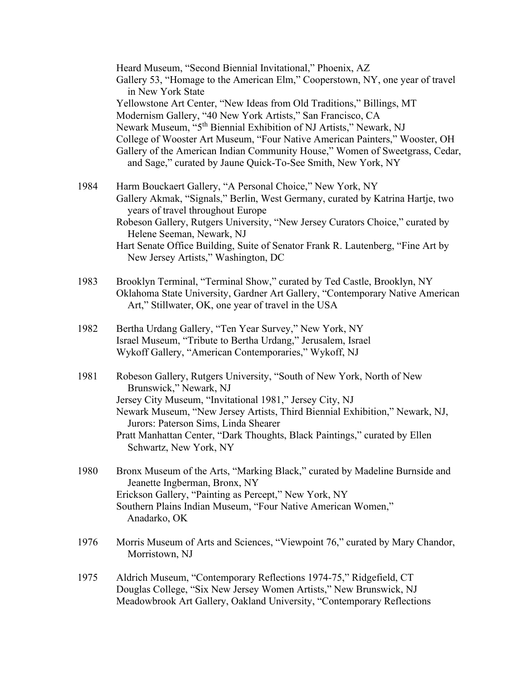|      | Heard Museum, "Second Biennial Invitational," Phoenix, AZ<br>Gallery 53, "Homage to the American Elm," Cooperstown, NY, one year of travel<br>in New York State                                                                                                                                                                                                                                                                                       |
|------|-------------------------------------------------------------------------------------------------------------------------------------------------------------------------------------------------------------------------------------------------------------------------------------------------------------------------------------------------------------------------------------------------------------------------------------------------------|
|      | Yellowstone Art Center, "New Ideas from Old Traditions," Billings, MT<br>Modernism Gallery, "40 New York Artists," San Francisco, CA<br>Newark Museum, "5 <sup>th</sup> Biennial Exhibition of NJ Artists," Newark, NJ<br>College of Wooster Art Museum, "Four Native American Painters," Wooster, OH<br>Gallery of the American Indian Community House," Women of Sweetgrass, Cedar,<br>and Sage," curated by Jaune Quick-To-See Smith, New York, NY |
| 1984 | Harm Bouckaert Gallery, "A Personal Choice," New York, NY<br>Gallery Akmak, "Signals," Berlin, West Germany, curated by Katrina Hartje, two<br>years of travel throughout Europe<br>Robeson Gallery, Rutgers University, "New Jersey Curators Choice," curated by<br>Helene Seeman, Newark, NJ<br>Hart Senate Office Building, Suite of Senator Frank R. Lautenberg, "Fine Art by<br>New Jersey Artists," Washington, DC                              |
| 1983 | Brooklyn Terminal, "Terminal Show," curated by Ted Castle, Brooklyn, NY<br>Oklahoma State University, Gardner Art Gallery, "Contemporary Native American<br>Art," Stillwater, OK, one year of travel in the USA                                                                                                                                                                                                                                       |
| 1982 | Bertha Urdang Gallery, "Ten Year Survey," New York, NY<br>Israel Museum, "Tribute to Bertha Urdang," Jerusalem, Israel<br>Wykoff Gallery, "American Contemporaries," Wykoff, NJ                                                                                                                                                                                                                                                                       |
| 1981 | Robeson Gallery, Rutgers University, "South of New York, North of New<br>Brunswick," Newark, NJ<br>Jersey City Museum, "Invitational 1981," Jersey City, NJ<br>Newark Museum, "New Jersey Artists, Third Biennial Exhibition," Newark, NJ,<br>Jurors: Paterson Sims, Linda Shearer<br>Pratt Manhattan Center, "Dark Thoughts, Black Paintings," curated by Ellen<br>Schwartz, New York, NY                                                            |
| 1980 | Bronx Museum of the Arts, "Marking Black," curated by Madeline Burnside and<br>Jeanette Ingberman, Bronx, NY<br>Erickson Gallery, "Painting as Percept," New York, NY<br>Southern Plains Indian Museum, "Four Native American Women,"<br>Anadarko, OK                                                                                                                                                                                                 |
| 1976 | Morris Museum of Arts and Sciences, "Viewpoint 76," curated by Mary Chandor,<br>Morristown, NJ                                                                                                                                                                                                                                                                                                                                                        |
| 1975 | Aldrich Museum, "Contemporary Reflections 1974-75," Ridgefield, CT<br>Douglas College, "Six New Jersey Women Artists," New Brunswick, NJ<br>Meadowbrook Art Gallery, Oakland University, "Contemporary Reflections                                                                                                                                                                                                                                    |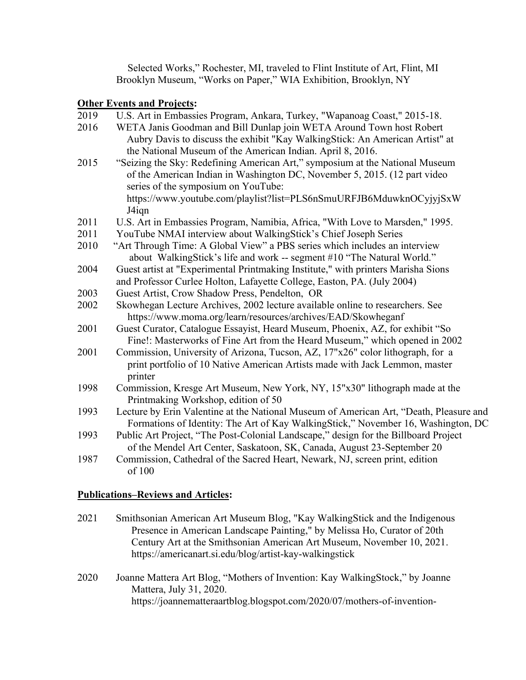Selected Works," Rochester, MI, traveled to Flint Institute of Art, Flint, MI Brooklyn Museum, "Works on Paper," WIA Exhibition, Brooklyn, NY

## **Other Events and Projects:**

| 2019 | U.S. Art in Embassies Program, Ankara, Turkey, "Wapanoag Coast," 2015-18.     |
|------|-------------------------------------------------------------------------------|
| 2016 | WETA Janis Goodman and Bill Dunlap join WETA Around Town host Robert          |
|      | Aubry Davis to discuss the exhibit "Kay Walking Stick: An American Artist" at |

the National Museum of the American Indian. April 8, 2016. 2015 "Seizing the Sky: Redefining American Art," symposium at the National Museum of the American Indian in Washington DC, November 5, 2015. (12 part video series of the symposium on YouTube:

https://www.youtube.com/playlist?list=PLS6nSmuURFJB6MduwknOCyjyjSxW J4iqn

- 2011 U.S. Art in Embassies Program, Namibia, Africa, "With Love to Marsden," 1995.
- 2011 YouTube NMAI interview about WalkingStick's Chief Joseph Series
- 2010 "Art Through Time: A Global View" a PBS series which includes an interview about WalkingStick's life and work -- segment #10 "The Natural World."
- 2004 Guest artist at "Experimental Printmaking Institute," with printers Marisha Sions and Professor Curlee Holton, Lafayette College, Easton, PA. (July 2004)
- 2003 Guest Artist, Crow Shadow Press, Pendelton, OR
- 2002 Skowhegan Lecture Archives, 2002 lecture available online to researchers. See https://www.moma.org/learn/resources/archives/EAD/Skowheganf
- 2001 Guest Curator, Catalogue Essayist, Heard Museum, Phoenix, AZ, for exhibit "So Fine!: Masterworks of Fine Art from the Heard Museum," which opened in 2002
- 2001 Commission, University of Arizona, Tucson, AZ, 17"x26" color lithograph, for a print portfolio of 10 Native American Artists made with Jack Lemmon, master printer
- 1998 Commission, Kresge Art Museum, New York, NY, 15"x30" lithograph made at the Printmaking Workshop, edition of 50
- 1993 Lecture by Erin Valentine at the National Museum of American Art, "Death, Pleasure and Formations of Identity: The Art of Kay WalkingStick," November 16, Washington, DC
- 1993 Public Art Project, "The Post-Colonial Landscape," design for the Billboard Project of the Mendel Art Center, Saskatoon, SK, Canada, August 23-September 20
- 1987 Commission, Cathedral of the Sacred Heart, Newark, NJ, screen print, edition of 100

## **Publications–Reviews and Articles:**

- 2021 Smithsonian American Art Museum Blog, "Kay WalkingStick and the Indigenous Presence in American Landscape Painting," by Melissa Ho, Curator of 20th Century Art at the Smithsonian American Art Museum, November 10, 2021. https://americanart.si.edu/blog/artist-kay-walkingstick
- 2020 Joanne Mattera Art Blog, "Mothers of Invention: Kay WalkingStock," by Joanne Mattera, July 31, 2020. https://joannematteraartblog.blogspot.com/2020/07/mothers-of-invention-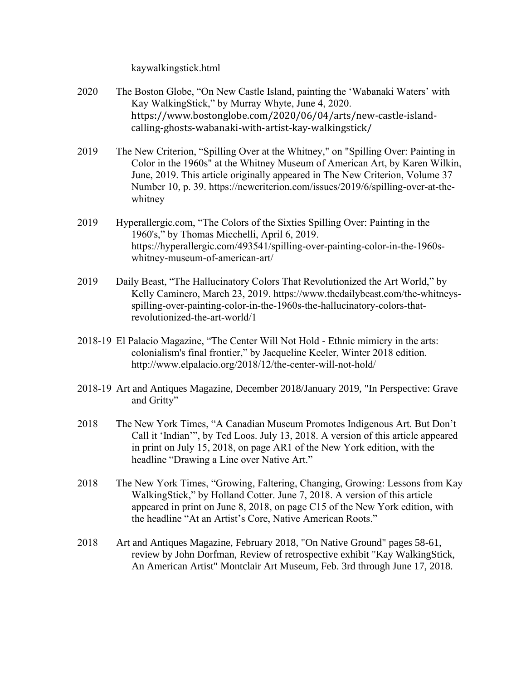kaywalkingstick.html

- 2020 The Boston Globe, "On New Castle Island, painting the 'Wabanaki Waters' with Kay WalkingStick," by Murray Whyte, June 4, 2020. https://www.bostonglobe.com/2020/06/04/arts/new-castle-islandcalling-ghosts-wabanaki-with-artist-kay-walkingstick/
- 2019 The New Criterion, "Spilling Over at the Whitney," on "Spilling Over: Painting in Color in the 1960s" at the Whitney Museum of American Art, by Karen Wilkin, June, 2019. This article originally appeared in The New Criterion, Volume 37 Number 10, p. 39. https://newcriterion.com/issues/2019/6/spilling-over-at-thewhitney
- 2019 Hyperallergic.com, "The Colors of the Sixties Spilling Over: Painting in the 1960's," by Thomas Micchelli, April 6, 2019. https://hyperallergic.com/493541/spilling-over-painting-color-in-the-1960swhitney-museum-of-american-art/
- 2019 Daily Beast, "The Hallucinatory Colors That Revolutionized the Art World," by Kelly Caminero, March 23, 2019. https://www.thedailybeast.com/the-whitneysspilling-over-painting-color-in-the-1960s-the-hallucinatory-colors-thatrevolutionized-the-art-world/1
- 2018-19 El Palacio Magazine, "The Center Will Not Hold Ethnic mimicry in the arts: colonialism's final frontier," by Jacqueline Keeler, Winter 2018 edition. http://www.elpalacio.org/2018/12/the-center-will-not-hold/
- 2018-19 Art and Antiques Magazine, December 2018/January 2019, "In Perspective: Grave and Gritty"
- 2018 The New York Times, "A Canadian Museum Promotes Indigenous Art. But Don't Call it 'Indian'", by Ted Loos. July 13, 2018. A version of this article appeared in print on July 15, 2018, on page AR1 of the New York edition, with the headline "Drawing a Line over Native Art."
- 2018 The New York Times, "Growing, Faltering, Changing, Growing: Lessons from Kay WalkingStick," by Holland Cotter. June 7, 2018. A version of this article appeared in print on June 8, 2018, on page C15 of the New York edition, with the headline "At an Artist's Core, Native American Roots."
- 2018 Art and Antiques Magazine, February 2018, "On Native Ground" pages 58-61, review by John Dorfman, Review of retrospective exhibit "Kay WalkingStick, An American Artist" Montclair Art Museum, Feb. 3rd through June 17, 2018.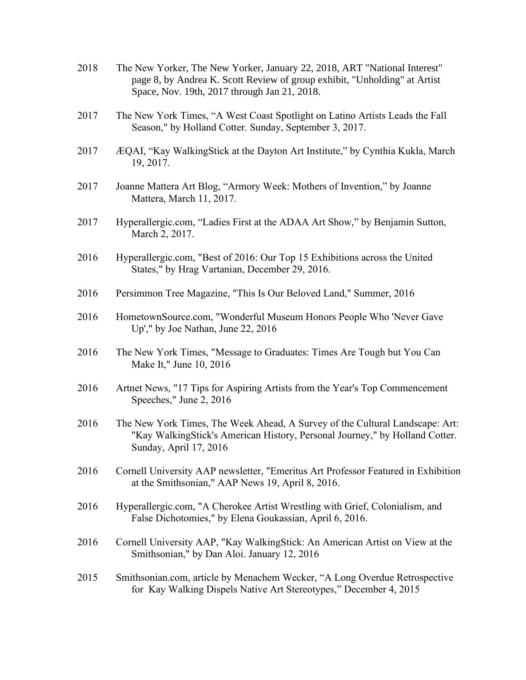- 2018 The New Yorker, The New Yorker, January 22, 2018, ART "National Interest" page 8, by Andrea K. Scott Review of group exhibit, "Unholding" at Artist Space, Nov. 19th, 2017 through Jan 21, 2018.
- 2017 The New York Times, "A West Coast Spotlight on Latino Artists Leads the Fall Season," by Holland Cotter. Sunday, September 3, 2017.
- 2017 ÆQAI, "Kay WalkingStick at the Dayton Art Institute," by Cynthia Kukla, March 19, 2017.
- 2017 Joanne Mattera Art Blog, "Armory Week: Mothers of Invention," by Joanne Mattera, March 11, 2017.
- 2017 Hyperallergic.com, "Ladies First at the ADAA Art Show," by Benjamin Sutton, March 2, 2017.
- 2016 Hyperallergic.com, "Best of 2016: Our Top 15 Exhibitions across the United States," by Hrag Vartanian, December 29, 2016.
- 2016 Persimmon Tree Magazine, "This Is Our Beloved Land," Summer, 2016
- 2016 HometownSource.com, "Wonderful Museum Honors People Who 'Never Gave Up'," by Joe Nathan, June 22, 2016
- 2016 The New York Times, "Message to Graduates: Times Are Tough but You Can Make It," June 10, 2016
- 2016 Artnet News, "17 Tips for Aspiring Artists from the Year's Top Commencement Speeches," June 2, 2016
- 2016 The New York Times, The Week Ahead, A Survey of the Cultural Landscape: Art: "Kay WalkingStick's American History, Personal Journey," by Holland Cotter. Sunday, April 17, 2016
- 2016 Cornell University AAP newsletter, "Emeritus Art Professor Featured in Exhibition at the Smithsonian," AAP News 19, April 8, 2016.
- 2016 Hyperallergic.com, "A Cherokee Artist Wrestling with Grief, Colonialism, and False Dichotomies," by Elena Goukassian, April 6, 2016.
- 2016 Cornell University AAP, "Kay WalkingStick: An American Artist on View at the Smithsonian," by Dan Aloi. January 12, 2016
- 2015 Smithsonian.com, article by Menachem Wecker, "A Long Overdue Retrospective for Kay Walking Dispels Native Art Stereotypes," December 4, 2015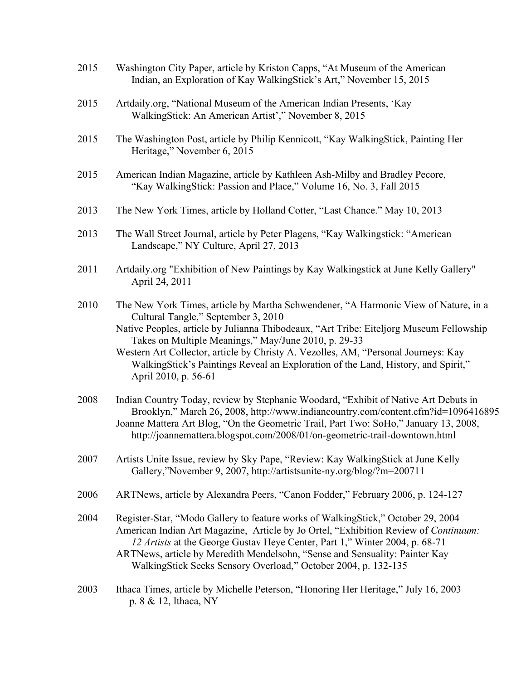- 2015 Washington City Paper, article by Kriston Capps, "At Museum of the American Indian, an Exploration of Kay WalkingStick's Art," November 15, 2015
- 2015 Artdaily.org, "National Museum of the American Indian Presents, 'Kay WalkingStick: An American Artist'," November 8, 2015
- 2015 The Washington Post, article by Philip Kennicott, "Kay WalkingStick, Painting Her Heritage," November 6, 2015
- 2015 American Indian Magazine, article by Kathleen Ash-Milby and Bradley Pecore, "Kay WalkingStick: Passion and Place," Volume 16, No. 3, Fall 2015
- 2013 The New York Times, article by Holland Cotter, "Last Chance." May 10, 2013
- 2013 The Wall Street Journal, article by Peter Plagens, "Kay Walkingstick: "American Landscape," NY Culture, April 27, 2013
- 2011 Artdaily.org "Exhibition of New Paintings by Kay Walkingstick at June Kelly Gallery" April 24, 2011
- 2010 The New York Times, article by Martha Schwendener, "A Harmonic View of Nature, in a Cultural Tangle," September 3, 2010

Native Peoples, article by Julianna Thibodeaux, "Art Tribe: Eiteljorg Museum Fellowship Takes on Multiple Meanings," May/June 2010, p. 29-33

Western Art Collector, article by Christy A. Vezolles, AM, "Personal Journeys: Kay WalkingStick's Paintings Reveal an Exploration of the Land, History, and Spirit," April 2010, p. 56-61

- 2008 Indian Country Today, review by Stephanie Woodard, "Exhibit of Native Art Debuts in Brooklyn," March 26, 2008, http://www.indiancountry.com/content.cfm?id=1096416895 Joanne Mattera Art Blog, "On the Geometric Trail, Part Two: SoHo," January 13, 2008, http://joannemattera.blogspot.com/2008/01/on-geometric-trail-downtown.html
- 2007 Artists Unite Issue, review by Sky Pape, "Review: Kay WalkingStick at June Kelly Gallery,"November 9, 2007, http://artistsunite-ny.org/blog/?m=200711
- 2006 ARTNews, article by Alexandra Peers, "Canon Fodder," February 2006, p. 124-127
- 2004 Register-Star, "Modo Gallery to feature works of WalkingStick," October 29, 2004 American Indian Art Magazine, Article by Jo Ortel, "Exhibition Review of *Continuum: 12 Artists* at the George Gustav Heye Center, Part 1," Winter 2004, p. 68-71 ARTNews, article by Meredith Mendelsohn, "Sense and Sensuality: Painter Kay WalkingStick Seeks Sensory Overload," October 2004, p. 132-135
- 2003 Ithaca Times, article by Michelle Peterson, "Honoring Her Heritage," July 16, 2003 p. 8 & 12, Ithaca, NY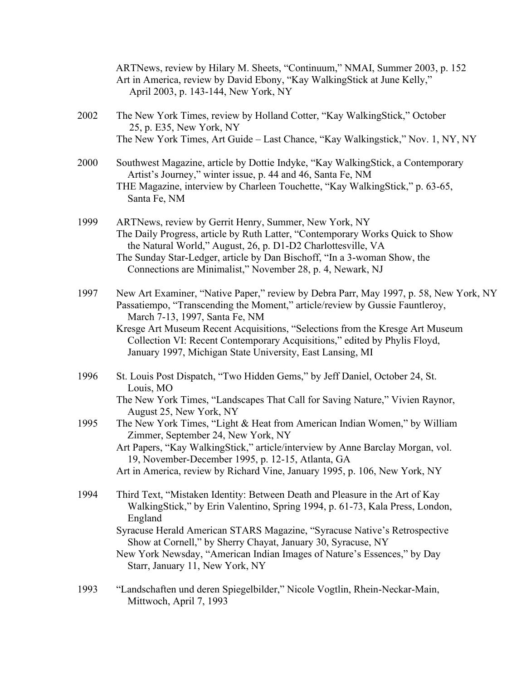|      | ARTNews, review by Hilary M. Sheets, "Continuum," NMAI, Summer 2003, p. 152<br>Art in America, review by David Ebony, "Kay WalkingStick at June Kelly,"<br>April 2003, p. 143-144, New York, NY                                                                                                                                                                                                                                    |  |  |  |  |  |
|------|------------------------------------------------------------------------------------------------------------------------------------------------------------------------------------------------------------------------------------------------------------------------------------------------------------------------------------------------------------------------------------------------------------------------------------|--|--|--|--|--|
| 2002 | The New York Times, review by Holland Cotter, "Kay WalkingStick," October<br>25, p. E35, New York, NY                                                                                                                                                                                                                                                                                                                              |  |  |  |  |  |
|      | The New York Times, Art Guide – Last Chance, "Kay Walkingstick," Nov. 1, NY, NY                                                                                                                                                                                                                                                                                                                                                    |  |  |  |  |  |
| 2000 | Southwest Magazine, article by Dottie Indyke, "Kay WalkingStick, a Contemporary<br>Artist's Journey," winter issue, p. 44 and 46, Santa Fe, NM<br>THE Magazine, interview by Charleen Touchette, "Kay WalkingStick," p. 63-65,<br>Santa Fe, NM                                                                                                                                                                                     |  |  |  |  |  |
| 1999 | ARTNews, review by Gerrit Henry, Summer, New York, NY<br>The Daily Progress, article by Ruth Latter, "Contemporary Works Quick to Show<br>the Natural World," August, 26, p. D1-D2 Charlottesville, VA<br>The Sunday Star-Ledger, article by Dan Bischoff, "In a 3-woman Show, the<br>Connections are Minimalist," November 28, p. 4, Newark, NJ                                                                                   |  |  |  |  |  |
| 1997 | New Art Examiner, "Native Paper," review by Debra Parr, May 1997, p. 58, New York, NY<br>Passatiempo, "Transcending the Moment," article/review by Gussie Fauntleroy,<br>March 7-13, 1997, Santa Fe, NM<br>Kresge Art Museum Recent Acquisitions, "Selections from the Kresge Art Museum<br>Collection VI: Recent Contemporary Acquisitions," edited by Phylis Floyd,<br>January 1997, Michigan State University, East Lansing, MI |  |  |  |  |  |
| 1996 | St. Louis Post Dispatch, "Two Hidden Gems," by Jeff Daniel, October 24, St.<br>Louis, MO                                                                                                                                                                                                                                                                                                                                           |  |  |  |  |  |
|      | The New York Times, "Landscapes That Call for Saving Nature," Vivien Raynor,<br>August 25, New York, NY                                                                                                                                                                                                                                                                                                                            |  |  |  |  |  |
| 1995 | The New York Times, "Light & Heat from American Indian Women," by William<br>Zimmer, September 24, New York, NY                                                                                                                                                                                                                                                                                                                    |  |  |  |  |  |
|      | Art Papers, "Kay WalkingStick," article/interview by Anne Barclay Morgan, vol.<br>19, November-December 1995, p. 12-15, Atlanta, GA<br>Art in America, review by Richard Vine, January 1995, p. 106, New York, NY                                                                                                                                                                                                                  |  |  |  |  |  |
| 1994 | Third Text, "Mistaken Identity: Between Death and Pleasure in the Art of Kay<br>WalkingStick," by Erin Valentino, Spring 1994, p. 61-73, Kala Press, London,<br>England                                                                                                                                                                                                                                                            |  |  |  |  |  |
|      | Syracuse Herald American STARS Magazine, "Syracuse Native's Retrospective<br>Show at Cornell," by Sherry Chayat, January 30, Syracuse, NY<br>New York Newsday, "American Indian Images of Nature's Essences," by Day                                                                                                                                                                                                               |  |  |  |  |  |
|      | Starr, January 11, New York, NY                                                                                                                                                                                                                                                                                                                                                                                                    |  |  |  |  |  |
| 1993 | "Landschaften und deren Spiegelbilder," Nicole Vogtlin, Rhein-Neckar-Main,<br>Mittwoch, April 7, 1993                                                                                                                                                                                                                                                                                                                              |  |  |  |  |  |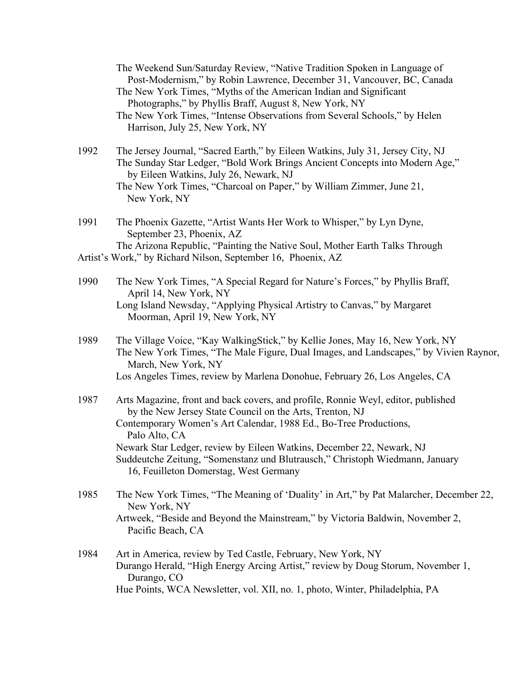The Weekend Sun/Saturday Review, "Native Tradition Spoken in Language of Post-Modernism," by Robin Lawrence, December 31, Vancouver, BC, Canada The New York Times, "Myths of the American Indian and Significant Photographs," by Phyllis Braff, August 8, New York, NY The New York Times, "Intense Observations from Several Schools," by Helen Harrison, July 25, New York, NY 1992 The Jersey Journal, "Sacred Earth," by Eileen Watkins, July 31, Jersey City, NJ The Sunday Star Ledger, "Bold Work Brings Ancient Concepts into Modern Age," by Eileen Watkins, July 26, Newark, NJ The New York Times, "Charcoal on Paper," by William Zimmer, June 21, New York, NY 1991 The Phoenix Gazette, "Artist Wants Her Work to Whisper," by Lyn Dyne, September 23, Phoenix, AZ The Arizona Republic, "Painting the Native Soul, Mother Earth Talks Through Artist's Work," by Richard Nilson, September 16, Phoenix, AZ 1990 The New York Times, "A Special Regard for Nature's Forces," by Phyllis Braff, April 14, New York, NY Long Island Newsday, "Applying Physical Artistry to Canvas," by Margaret Moorman, April 19, New York, NY 1989 The Village Voice, "Kay WalkingStick," by Kellie Jones, May 16, New York, NY The New York Times, "The Male Figure, Dual Images, and Landscapes," by Vivien Raynor, March, New York, NY Los Angeles Times, review by Marlena Donohue, February 26, Los Angeles, CA 1987 Arts Magazine, front and back covers, and profile, Ronnie Weyl, editor, published by the New Jersey State Council on the Arts, Trenton, NJ Contemporary Women's Art Calendar, 1988 Ed., Bo-Tree Productions, Palo Alto, CA Newark Star Ledger, review by Eileen Watkins, December 22, Newark, NJ Suddeutche Zeitung, "Somenstanz und Blutrausch," Christoph Wiedmann, January 16, Feuilleton Domerstag, West Germany 1985 The New York Times, "The Meaning of 'Duality' in Art," by Pat Malarcher, December 22, New York, NY

Artweek, "Beside and Beyond the Mainstream," by Victoria Baldwin, November 2, Pacific Beach, CA

1984 Art in America, review by Ted Castle, February, New York, NY Durango Herald, "High Energy Arcing Artist," review by Doug Storum, November 1, Durango, CO Hue Points, WCA Newsletter, vol. XII, no. 1, photo, Winter, Philadelphia, PA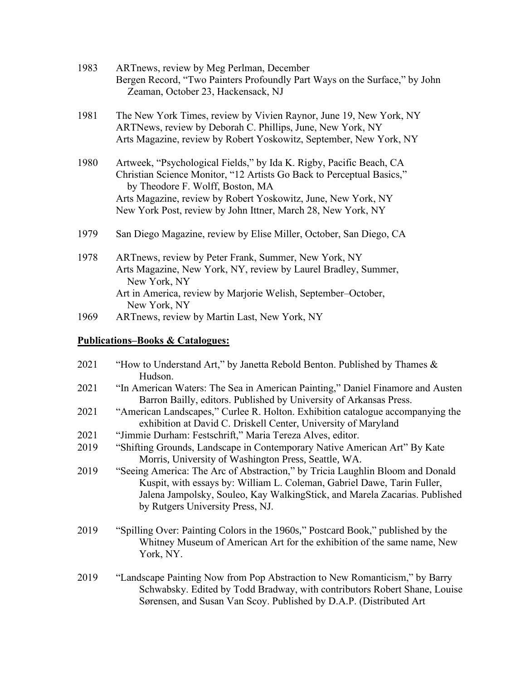| 1983 | ARTnews, review by Meg Perlman, December<br>Bergen Record, "Two Painters Profoundly Part Ways on the Surface," by John<br>Zeaman, October 23, Hackensack, NJ                                                                                                                                                      |
|------|-------------------------------------------------------------------------------------------------------------------------------------------------------------------------------------------------------------------------------------------------------------------------------------------------------------------|
| 1981 | The New York Times, review by Vivien Raynor, June 19, New York, NY<br>ARTNews, review by Deborah C. Phillips, June, New York, NY<br>Arts Magazine, review by Robert Yoskowitz, September, New York, NY                                                                                                            |
| 1980 | Artweek, "Psychological Fields," by Ida K. Rigby, Pacific Beach, CA<br>Christian Science Monitor, "12 Artists Go Back to Perceptual Basics,"<br>by Theodore F. Wolff, Boston, MA<br>Arts Magazine, review by Robert Yoskowitz, June, New York, NY<br>New York Post, review by John Ittner, March 28, New York, NY |
| 1979 | San Diego Magazine, review by Elise Miller, October, San Diego, CA                                                                                                                                                                                                                                                |
| 1978 | ARTnews, review by Peter Frank, Summer, New York, NY<br>Arts Magazine, New York, NY, review by Laurel Bradley, Summer,<br>New York, NY<br>Art in America, review by Marjorie Welish, September–October,<br>New York, NY                                                                                           |
| 1969 | ARTnews, review by Martin Last, New York, NY                                                                                                                                                                                                                                                                      |

## **Publications–Books & Catalogues:**

| 2021 | "How to Understand Art," by Janetta Rebold Benton. Published by Thames $\&$<br>Hudson.                                                                                                                                                                                     |  |  |  |  |  |
|------|----------------------------------------------------------------------------------------------------------------------------------------------------------------------------------------------------------------------------------------------------------------------------|--|--|--|--|--|
| 2021 | "In American Waters: The Sea in American Painting," Daniel Finamore and Austen<br>Barron Bailly, editors. Published by University of Arkansas Press.                                                                                                                       |  |  |  |  |  |
| 2021 | "American Landscapes," Curlee R. Holton. Exhibition catalogue accompanying the<br>exhibition at David C. Driskell Center, University of Maryland                                                                                                                           |  |  |  |  |  |
| 2021 | "Jimmie Durham: Festschrift," Maria Tereza Alves, editor.                                                                                                                                                                                                                  |  |  |  |  |  |
| 2019 | "Shifting Grounds, Landscape in Contemporary Native American Art" By Kate<br>Morris, University of Washington Press, Seattle, WA.                                                                                                                                          |  |  |  |  |  |
| 2019 | "Seeing America: The Arc of Abstraction," by Tricia Laughlin Bloom and Donald<br>Kuspit, with essays by: William L. Coleman, Gabriel Dawe, Tarin Fuller,<br>Jalena Jampolsky, Souleo, Kay WalkingStick, and Marela Zacarias. Published<br>by Rutgers University Press, NJ. |  |  |  |  |  |
| 2019 | "Spilling Over: Painting Colors in the 1960s," Postcard Book," published by the<br>Whitney Museum of American Art for the exhibition of the same name, New<br>York, NY.                                                                                                    |  |  |  |  |  |
| 2019 | "Landscape Painting Now from Pop Abstraction to New Romanticism," by Barry<br>Schwabsky. Edited by Todd Bradway, with contributors Robert Shane, Louise<br>Sørensen, and Susan Van Scoy. Published by D.A.P. (Distributed Art                                              |  |  |  |  |  |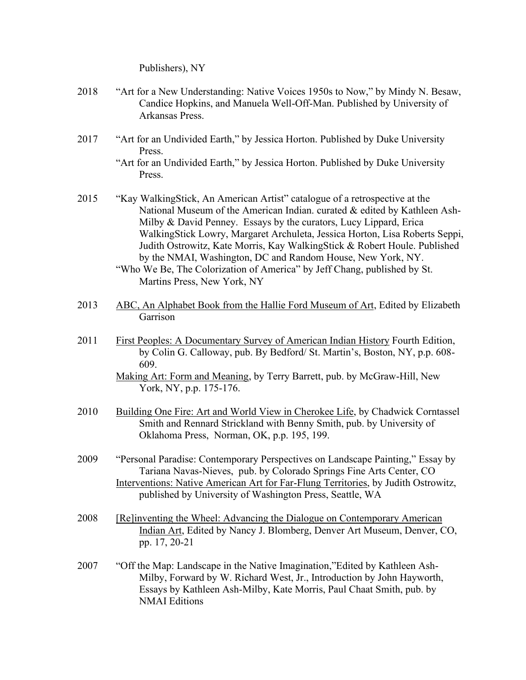Publishers), NY

- 2018 "Art for a New Understanding: Native Voices 1950s to Now," by Mindy N. Besaw, Candice Hopkins, and Manuela Well-Off-Man. Published by University of Arkansas Press.
- 2017 "Art for an Undivided Earth," by Jessica Horton. Published by Duke University Press.
	- "Art for an Undivided Earth," by Jessica Horton. Published by Duke University Press.
- 2015 "Kay WalkingStick, An American Artist" catalogue of a retrospective at the National Museum of the American Indian. curated & edited by Kathleen Ash-Milby & David Penney. Essays by the curators, Lucy Lippard, Erica WalkingStick Lowry, Margaret Archuleta, Jessica Horton, Lisa Roberts Seppi, Judith Ostrowitz, Kate Morris, Kay WalkingStick & Robert Houle. Published by the NMAI, Washington, DC and Random House, New York, NY.

"Who We Be, The Colorization of America" by Jeff Chang, published by St. Martins Press, New York, NY

- 2013 ABC, An Alphabet Book from the Hallie Ford Museum of Art, Edited by Elizabeth Garrison
- 2011 First Peoples: A Documentary Survey of American Indian History Fourth Edition, by Colin G. Calloway, pub. By Bedford/ St. Martin's, Boston, NY, p.p. 608- 609. Making Art: Form and Meaning, by Terry Barrett, pub. by McGraw-Hill, New

York, NY, p.p. 175-176.

- 2010 Building One Fire: Art and World View in Cherokee Life, by Chadwick Corntassel Smith and Rennard Strickland with Benny Smith, pub. by University of Oklahoma Press, Norman, OK, p.p. 195, 199.
- 2009 "Personal Paradise: Contemporary Perspectives on Landscape Painting," Essay by Tariana Navas-Nieves, pub. by Colorado Springs Fine Arts Center, CO Interventions: Native American Art for Far-Flung Territories, by Judith Ostrowitz, published by University of Washington Press, Seattle, WA
- 2008 [Re]inventing the Wheel: Advancing the Dialogue on Contemporary American Indian Art, Edited by Nancy J. Blomberg, Denver Art Museum, Denver, CO, pp. 17, 20-21
- 2007 "Off the Map: Landscape in the Native Imagination,"Edited by Kathleen Ash-Milby, Forward by W. Richard West, Jr., Introduction by John Hayworth, Essays by Kathleen Ash-Milby, Kate Morris, Paul Chaat Smith, pub. by NMAI Editions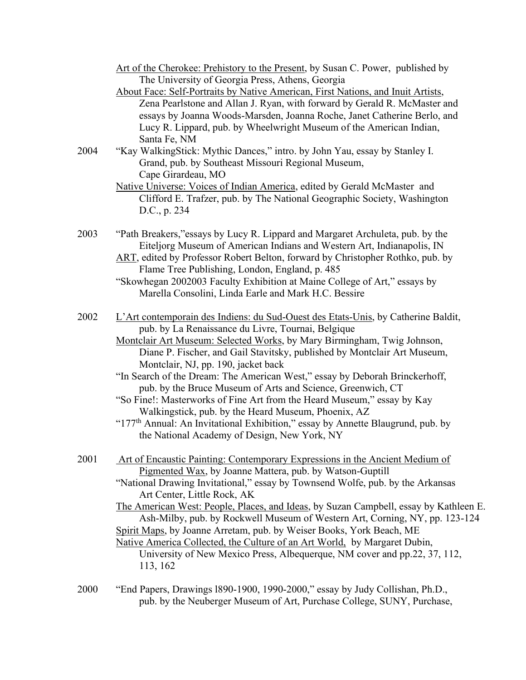| Art of the Cherokee: Prehistory to the Present, by Susan C. Power, published by |  |  |  |
|---------------------------------------------------------------------------------|--|--|--|
| The University of Georgia Press, Athens, Georgia                                |  |  |  |

About Face: Self-Portraits by Native American, First Nations, and Inuit Artists, Zena Pearlstone and Allan J. Ryan, with forward by Gerald R. McMaster and essays by Joanna Woods-Marsden, Joanna Roche, Janet Catherine Berlo, and Lucy R. Lippard, pub. by Wheelwright Museum of the American Indian, Santa Fe, NM

2004 "Kay WalkingStick: Mythic Dances," intro. by John Yau, essay by Stanley I. Grand, pub. by Southeast Missouri Regional Museum, Cape Girardeau, MO

- Native Universe: Voices of Indian America, edited by Gerald McMaster and Clifford E. Trafzer, pub. by The National Geographic Society, Washington D.C., p. 234
- 2003 "Path Breakers,"essays by Lucy R. Lippard and Margaret Archuleta, pub. by the Eiteljorg Museum of American Indians and Western Art, Indianapolis, IN
	- ART, edited by Professor Robert Belton, forward by Christopher Rothko, pub. by Flame Tree Publishing, London, England, p. 485
	- "Skowhegan 2002003 Faculty Exhibition at Maine College of Art," essays by Marella Consolini, Linda Earle and Mark H.C. Bessire
- 2002 L'Art contemporain des Indiens: du Sud-Ouest des Etats-Unis, by Catherine Baldit, pub. by La Renaissance du Livre, Tournai, Belgique
	- Montclair Art Museum: Selected Works, by Mary Birmingham, Twig Johnson, Diane P. Fischer, and Gail Stavitsky, published by Montclair Art Museum, Montclair, NJ, pp. 190, jacket back
	- "In Search of the Dream: The American West," essay by Deborah Brinckerhoff, pub. by the Bruce Museum of Arts and Science, Greenwich, CT
	- "So Fine!: Masterworks of Fine Art from the Heard Museum," essay by Kay Walkingstick, pub. by the Heard Museum, Phoenix, AZ
	- "177<sup>th</sup> Annual: An Invitational Exhibition," essay by Annette Blaugrund, pub. by the National Academy of Design, New York, NY
- 2001 Art of Encaustic Painting: Contemporary Expressions in the Ancient Medium of Pigmented Wax, by Joanne Mattera, pub. by Watson-Guptill

"National Drawing Invitational," essay by Townsend Wolfe, pub. by the Arkansas Art Center, Little Rock, AK

The American West: People, Places, and Ideas, by Suzan Campbell, essay by Kathleen E. Ash-Milby, pub. by Rockwell Museum of Western Art, Corning, NY, pp. 123-124 Spirit Maps, by Joanne Arretam, pub. by Weiser Books, York Beach, ME

Native America Collected, the Culture of an Art World, by Margaret Dubin, University of New Mexico Press, Albequerque, NM cover and pp.22, 37, 112, 113, 162

2000 "End Papers, Drawings l890-1900, 1990-2000," essay by Judy Collishan, Ph.D., pub. by the Neuberger Museum of Art, Purchase College, SUNY, Purchase,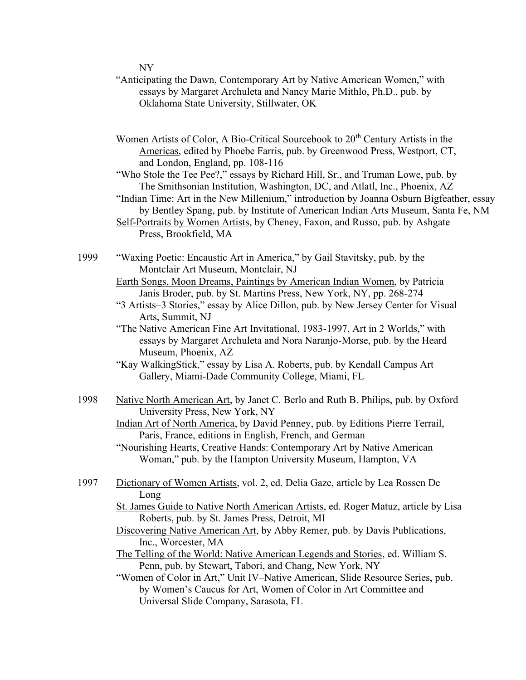NY

- "Anticipating the Dawn, Contemporary Art by Native American Women," with essays by Margaret Archuleta and Nancy Marie Mithlo, Ph.D., pub. by Oklahoma State University, Stillwater, OK
- Women Artists of Color, A Bio-Critical Sourcebook to 20<sup>th</sup> Century Artists in the Americas, edited by Phoebe Farris, pub. by Greenwood Press, Westport, CT, and London, England, pp. 108-116
- "Who Stole the Tee Pee?," essays by Richard Hill, Sr., and Truman Lowe, pub. by The Smithsonian Institution, Washington, DC, and Atlatl, Inc., Phoenix, AZ
- "Indian Time: Art in the New Millenium," introduction by Joanna Osburn Bigfeather, essay by Bentley Spang, pub. by Institute of American Indian Arts Museum, Santa Fe, NM
- Self-Portraits by Women Artists, by Cheney, Faxon, and Russo, pub. by Ashgate Press, Brookfield, MA
- 1999 "Waxing Poetic: Encaustic Art in America," by Gail Stavitsky, pub. by the Montclair Art Museum, Montclair, NJ
	- Earth Songs, Moon Dreams, Paintings by American Indian Women, by Patricia Janis Broder, pub. by St. Martins Press, New York, NY, pp. 268-274
	- "3 Artists–3 Stories," essay by Alice Dillon, pub. by New Jersey Center for Visual Arts, Summit, NJ
	- "The Native American Fine Art Invitational, 1983-1997, Art in 2 Worlds," with essays by Margaret Archuleta and Nora Naranjo-Morse, pub. by the Heard Museum, Phoenix, AZ
	- "Kay WalkingStick," essay by Lisa A. Roberts, pub. by Kendall Campus Art Gallery, Miami-Dade Community College, Miami, FL
- 1998 Native North American Art, by Janet C. Berlo and Ruth B. Philips, pub. by Oxford University Press, New York, NY

Indian Art of North America, by David Penney, pub. by Editions Pierre Terrail, Paris, France, editions in English, French, and German

- "Nourishing Hearts, Creative Hands: Contemporary Art by Native American Woman," pub. by the Hampton University Museum, Hampton, VA
- 1997 Dictionary of Women Artists, vol. 2, ed. Delia Gaze, article by Lea Rossen De Long
	- St. James Guide to Native North American Artists, ed. Roger Matuz, article by Lisa Roberts, pub. by St. James Press, Detroit, MI
	- Discovering Native American Art, by Abby Remer, pub. by Davis Publications, Inc., Worcester, MA
	- The Telling of the World: Native American Legends and Stories, ed. William S. Penn, pub. by Stewart, Tabori, and Chang, New York, NY
	- "Women of Color in Art," Unit IV–Native American, Slide Resource Series, pub. by Women's Caucus for Art, Women of Color in Art Committee and Universal Slide Company, Sarasota, FL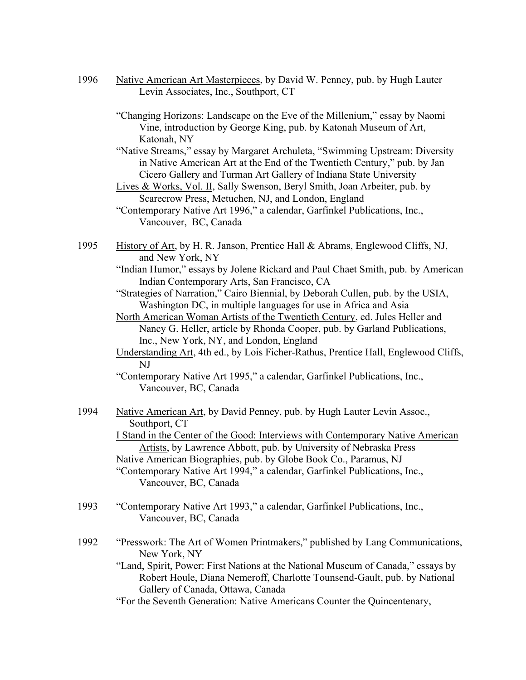- 1996 Native American Art Masterpieces, by David W. Penney, pub. by Hugh Lauter Levin Associates, Inc., Southport, CT
	- "Changing Horizons: Landscape on the Eve of the Millenium," essay by Naomi Vine, introduction by George King, pub. by Katonah Museum of Art, Katonah, NY
	- "Native Streams," essay by Margaret Archuleta, "Swimming Upstream: Diversity in Native American Art at the End of the Twentieth Century," pub. by Jan Cicero Gallery and Turman Art Gallery of Indiana State University
	- Lives & Works, Vol. II, Sally Swenson, Beryl Smith, Joan Arbeiter, pub. by Scarecrow Press, Metuchen, NJ, and London, England
	- "Contemporary Native Art 1996," a calendar, Garfinkel Publications, Inc., Vancouver, BC, Canada
- 1995 History of Art, by H. R. Janson, Prentice Hall & Abrams, Englewood Cliffs, NJ, and New York, NY
	- "Indian Humor," essays by Jolene Rickard and Paul Chaet Smith, pub. by American Indian Contemporary Arts, San Francisco, CA
	- "Strategies of Narration," Cairo Biennial, by Deborah Cullen, pub. by the USIA, Washington DC, in multiple languages for use in Africa and Asia
	- North American Woman Artists of the Twentieth Century, ed. Jules Heller and Nancy G. Heller, article by Rhonda Cooper, pub. by Garland Publications, Inc., New York, NY, and London, England
	- Understanding Art, 4th ed., by Lois Ficher-Rathus, Prentice Hall, Englewood Cliffs, NJ
	- "Contemporary Native Art 1995," a calendar, Garfinkel Publications, Inc., Vancouver, BC, Canada
- 1994 Native American Art, by David Penney, pub. by Hugh Lauter Levin Assoc., Southport, CT I Stand in the Center of the Good: Interviews with Contemporary Native American Artists, by Lawrence Abbott, pub. by University of Nebraska Press Native American Biographies, pub. by Globe Book Co., Paramus, NJ "Contemporary Native Art 1994," a calendar, Garfinkel Publications, Inc., Vancouver, BC, Canada
- 1993 "Contemporary Native Art 1993," a calendar, Garfinkel Publications, Inc., Vancouver, BC, Canada
- 1992 "Presswork: The Art of Women Printmakers," published by Lang Communications, New York, NY
	- "Land, Spirit, Power: First Nations at the National Museum of Canada," essays by Robert Houle, Diana Nemeroff, Charlotte Tounsend-Gault, pub. by National Gallery of Canada, Ottawa, Canada
	- "For the Seventh Generation: Native Americans Counter the Quincentenary,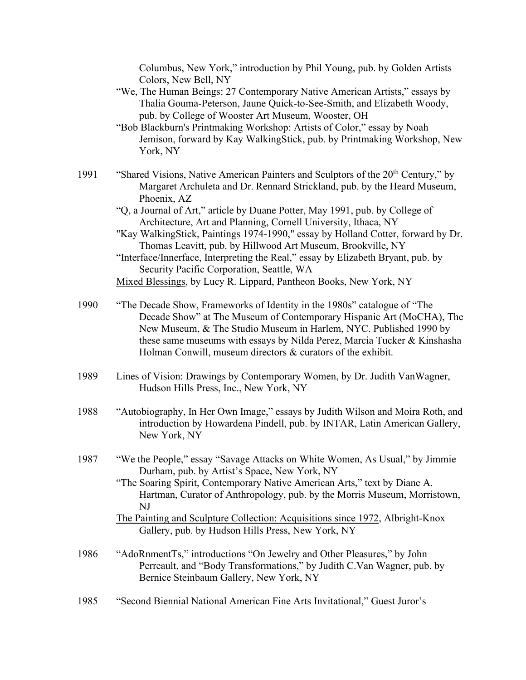Columbus, New York," introduction by Phil Young, pub. by Golden Artists Colors, New Bell, NY

- "We, The Human Beings: 27 Contemporary Native American Artists," essays by Thalia Gouma-Peterson, Jaune Quick-to-See-Smith, and Elizabeth Woody, pub. by College of Wooster Art Museum, Wooster, OH
- "Bob Blackburn's Printmaking Workshop: Artists of Color," essay by Noah Jemison, forward by Kay WalkingStick, pub. by Printmaking Workshop, New York, NY
- 1991 "Shared Visions, Native American Painters and Sculptors of the 20<sup>th</sup> Century," by Margaret Archuleta and Dr. Rennard Strickland, pub. by the Heard Museum, Phoenix, AZ
	- "Q, a Journal of Art," article by Duane Potter, May 1991, pub. by College of Architecture, Art and Planning, Cornell University, Ithaca, NY
	- "Kay WalkingStick, Paintings 1974-1990," essay by Holland Cotter, forward by Dr. Thomas Leavitt, pub. by Hillwood Art Museum, Brookville, NY
	- "Interface/Innerface, Interpreting the Real," essay by Elizabeth Bryant, pub. by Security Pacific Corporation, Seattle, WA

Mixed Blessings, by Lucy R. Lippard, Pantheon Books, New York, NY

- 1990 "The Decade Show, Frameworks of Identity in the 1980s" catalogue of "The Decade Show" at The Museum of Contemporary Hispanic Art (MoCHA), The New Museum, & The Studio Museum in Harlem, NYC. Published 1990 by these same museums with essays by Nilda Perez, Marcia Tucker & Kinshasha Holman Conwill, museum directors & curators of the exhibit.
- 1989 Lines of Vision: Drawings by Contemporary Women, by Dr. Judith VanWagner, Hudson Hills Press, Inc., New York, NY
- 1988 "Autobiography, In Her Own Image," essays by Judith Wilson and Moira Roth, and introduction by Howardena Pindell, pub. by INTAR, Latin American Gallery, New York, NY
- 1987 "We the People," essay "Savage Attacks on White Women, As Usual," by Jimmie Durham, pub. by Artist's Space, New York, NY
	- "The Soaring Spirit, Contemporary Native American Arts," text by Diane A. Hartman, Curator of Anthropology, pub. by the Morris Museum, Morristown, NJ
	- The Painting and Sculpture Collection: Acquisitions since 1972, Albright-Knox Gallery, pub. by Hudson Hills Press, New York, NY
- 1986 "AdoRnmentTs," introductions "On Jewelry and Other Pleasures," by John Perreault, and "Body Transformations," by Judith C.Van Wagner, pub. by Bernice Steinbaum Gallery, New York, NY
- 1985 "Second Biennial National American Fine Arts Invitational," Guest Juror's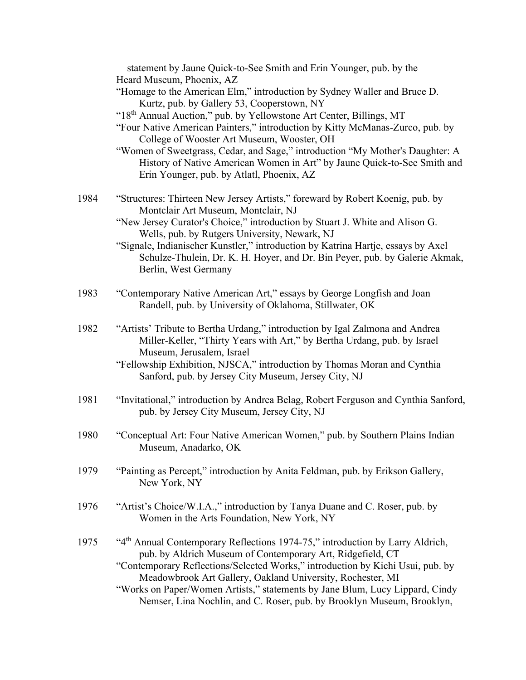|      | statement by Jaune Quick-to-See Smith and Erin Younger, pub. by the<br>Heard Museum, Phoenix, AZ<br>"Homage to the American Elm," introduction by Sydney Waller and Bruce D.<br>Kurtz, pub. by Gallery 53, Cooperstown, NY<br>"18th Annual Auction," pub. by Yellowstone Art Center, Billings, MT<br>"Four Native American Painters," introduction by Kitty McManas-Zurco, pub. by<br>College of Wooster Art Museum, Wooster, OH<br>"Women of Sweetgrass, Cedar, and Sage," introduction "My Mother's Daughter: A<br>History of Native American Women in Art" by Jaune Quick-to-See Smith and<br>Erin Younger, pub. by Atlatl, Phoenix, AZ |
|------|--------------------------------------------------------------------------------------------------------------------------------------------------------------------------------------------------------------------------------------------------------------------------------------------------------------------------------------------------------------------------------------------------------------------------------------------------------------------------------------------------------------------------------------------------------------------------------------------------------------------------------------------|
| 1984 | "Structures: Thirteen New Jersey Artists," foreward by Robert Koenig, pub. by<br>Montclair Art Museum, Montclair, NJ<br>"New Jersey Curator's Choice," introduction by Stuart J. White and Alison G.<br>Wells, pub. by Rutgers University, Newark, NJ<br>"Signale, Indianischer Kunstler," introduction by Katrina Hartje, essays by Axel<br>Schulze-Thulein, Dr. K. H. Hoyer, and Dr. Bin Peyer, pub. by Galerie Akmak,<br>Berlin, West Germany                                                                                                                                                                                           |
| 1983 | "Contemporary Native American Art," essays by George Longfish and Joan<br>Randell, pub. by University of Oklahoma, Stillwater, OK                                                                                                                                                                                                                                                                                                                                                                                                                                                                                                          |
| 1982 | "Artists' Tribute to Bertha Urdang," introduction by Igal Zalmona and Andrea<br>Miller-Keller, "Thirty Years with Art," by Bertha Urdang, pub. by Israel<br>Museum, Jerusalem, Israel<br>"Fellowship Exhibition, NJSCA," introduction by Thomas Moran and Cynthia<br>Sanford, pub. by Jersey City Museum, Jersey City, NJ                                                                                                                                                                                                                                                                                                                  |
| 1981 | "Invitational," introduction by Andrea Belag, Robert Ferguson and Cynthia Sanford,<br>pub. by Jersey City Museum, Jersey City, NJ                                                                                                                                                                                                                                                                                                                                                                                                                                                                                                          |
| 1980 | "Conceptual Art: Four Native American Women," pub. by Southern Plains Indian<br>Museum, Anadarko, OK                                                                                                                                                                                                                                                                                                                                                                                                                                                                                                                                       |
| 1979 | "Painting as Percept," introduction by Anita Feldman, pub. by Erikson Gallery,<br>New York, NY                                                                                                                                                                                                                                                                                                                                                                                                                                                                                                                                             |
| 1976 | "Artist's Choice/W.I.A.," introduction by Tanya Duane and C. Roser, pub. by<br>Women in the Arts Foundation, New York, NY                                                                                                                                                                                                                                                                                                                                                                                                                                                                                                                  |
| 1975 | "4 <sup>th</sup> Annual Contemporary Reflections 1974-75," introduction by Larry Aldrich,<br>pub. by Aldrich Museum of Contemporary Art, Ridgefield, CT<br>"Contemporary Reflections/Selected Works," introduction by Kichi Usui, pub. by<br>Meadowbrook Art Gallery, Oakland University, Rochester, MI<br>"Works on Paper/Women Artists," statements by Jane Blum, Lucy Lippard, Cindy<br>Nemser, Lina Nochlin, and C. Roser, pub. by Brooklyn Museum, Brooklyn,                                                                                                                                                                          |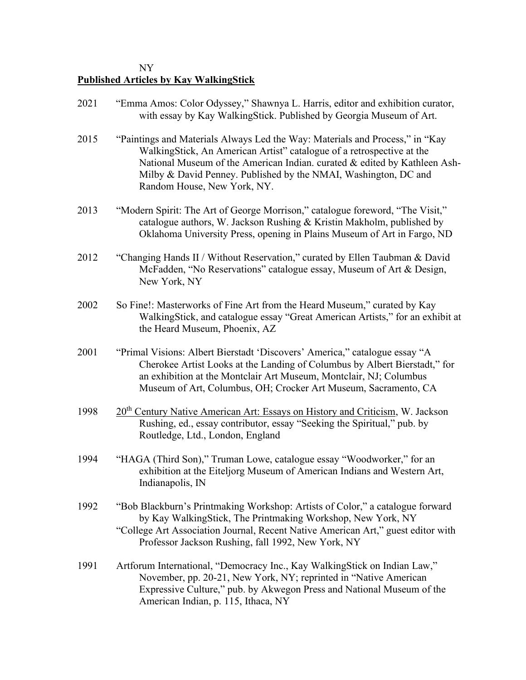## NY **Published Articles by Kay WalkingStick**

| 2021 | "Emma Amos: Color Odyssey," Shawnya L. Harris, editor and exhibition curator,<br>with essay by Kay WalkingStick. Published by Georgia Museum of Art.                                                                                                                                                                                 |
|------|--------------------------------------------------------------------------------------------------------------------------------------------------------------------------------------------------------------------------------------------------------------------------------------------------------------------------------------|
| 2015 | "Paintings and Materials Always Led the Way: Materials and Process," in "Kay<br>WalkingStick, An American Artist" catalogue of a retrospective at the<br>National Museum of the American Indian. curated & edited by Kathleen Ash-<br>Milby & David Penney. Published by the NMAI, Washington, DC and<br>Random House, New York, NY. |
| 2013 | "Modern Spirit: The Art of George Morrison," catalogue foreword, "The Visit,"<br>catalogue authors, W. Jackson Rushing & Kristin Makholm, published by<br>Oklahoma University Press, opening in Plains Museum of Art in Fargo, ND                                                                                                    |
| 2012 | "Changing Hands II / Without Reservation," curated by Ellen Taubman & David<br>McFadden, "No Reservations" catalogue essay, Museum of Art & Design,<br>New York, NY                                                                                                                                                                  |
| 2002 | So Fine!: Masterworks of Fine Art from the Heard Museum," curated by Kay<br>WalkingStick, and catalogue essay "Great American Artists," for an exhibit at<br>the Heard Museum, Phoenix, AZ                                                                                                                                           |
| 2001 | "Primal Visions: Albert Bierstadt 'Discovers' America," catalogue essay "A<br>Cherokee Artist Looks at the Landing of Columbus by Albert Bierstadt," for<br>an exhibition at the Montclair Art Museum, Montclair, NJ; Columbus<br>Museum of Art, Columbus, OH; Crocker Art Museum, Sacramento, CA                                    |
| 1998 | 20 <sup>th</sup> Century Native American Art: Essays on History and Criticism, W. Jackson<br>Rushing, ed., essay contributor, essay "Seeking the Spiritual," pub. by<br>Routledge, Ltd., London, England                                                                                                                             |
| 1994 | "HAGA (Third Son)," Truman Lowe, catalogue essay "Woodworker," for an<br>exhibition at the Eiteljorg Museum of American Indians and Western Art,<br>Indianapolis, IN                                                                                                                                                                 |
| 1992 | "Bob Blackburn's Printmaking Workshop: Artists of Color," a catalogue forward<br>by Kay WalkingStick, The Printmaking Workshop, New York, NY<br>"College Art Association Journal, Recent Native American Art," guest editor with<br>Professor Jackson Rushing, fall 1992, New York, NY                                               |
| 1991 | Artforum International, "Democracy Inc., Kay WalkingStick on Indian Law,"<br>November, pp. 20-21, New York, NY; reprinted in "Native American"<br>Expressive Culture," pub. by Akwegon Press and National Museum of the<br>American Indian, p. 115, Ithaca, NY                                                                       |
|      |                                                                                                                                                                                                                                                                                                                                      |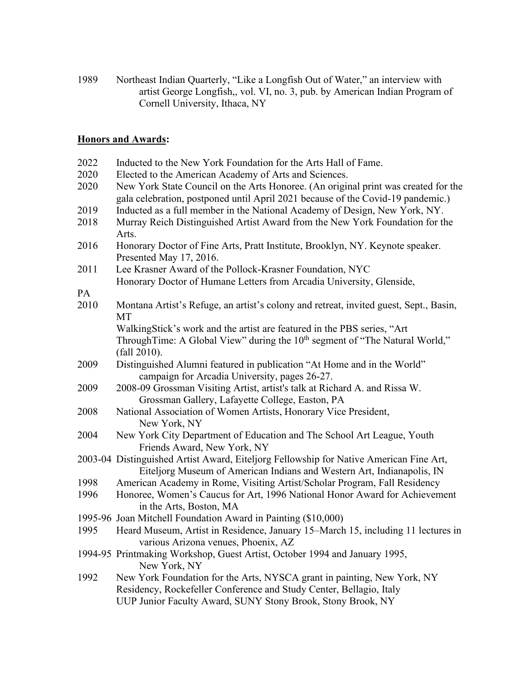1989 Northeast Indian Quarterly, "Like a Longfish Out of Water," an interview with artist George Longfish,, vol. VI, no. 3, pub. by American Indian Program of Cornell University, Ithaca, NY

## **Honors and Awards:**

| 2022         | Inducted to the New York Foundation for the Arts Hall of Fame.                                                                                                                                                                 |
|--------------|--------------------------------------------------------------------------------------------------------------------------------------------------------------------------------------------------------------------------------|
| 2020<br>2020 | Elected to the American Academy of Arts and Sciences.<br>New York State Council on the Arts Honoree. (An original print was created for the<br>gala celebration, postponed until April 2021 because of the Covid-19 pandemic.) |
| 2019         | Inducted as a full member in the National Academy of Design, New York, NY.                                                                                                                                                     |
| 2018         | Murray Reich Distinguished Artist Award from the New York Foundation for the<br>Arts.                                                                                                                                          |
| 2016         | Honorary Doctor of Fine Arts, Pratt Institute, Brooklyn, NY. Keynote speaker.<br>Presented May 17, 2016.                                                                                                                       |
| 2011         | Lee Krasner Award of the Pollock-Krasner Foundation, NYC                                                                                                                                                                       |
|              | Honorary Doctor of Humane Letters from Arcadia University, Glenside,                                                                                                                                                           |
| PA           |                                                                                                                                                                                                                                |
| 2010         | Montana Artist's Refuge, an artist's colony and retreat, invited guest, Sept., Basin,<br>МT                                                                                                                                    |
|              | WalkingStick's work and the artist are featured in the PBS series, "Art                                                                                                                                                        |
|              | Through Time: A Global View" during the $10th$ segment of "The Natural World,"<br>(fall 2010).                                                                                                                                 |
| 2009         | Distinguished Alumni featured in publication "At Home and in the World"                                                                                                                                                        |
|              | campaign for Arcadia University, pages 26-27.                                                                                                                                                                                  |
| 2009         | 2008-09 Grossman Visiting Artist, artist's talk at Richard A. and Rissa W.                                                                                                                                                     |
|              | Grossman Gallery, Lafayette College, Easton, PA                                                                                                                                                                                |
| 2008         | National Association of Women Artists, Honorary Vice President,<br>New York, NY                                                                                                                                                |
| 2004         | New York City Department of Education and The School Art League, Youth<br>Friends Award, New York, NY                                                                                                                          |
|              | 2003-04 Distinguished Artist Award, Eiteljorg Fellowship for Native American Fine Art,<br>Eiteljorg Museum of American Indians and Western Art, Indianapolis, IN                                                               |
| 1998         | American Academy in Rome, Visiting Artist/Scholar Program, Fall Residency                                                                                                                                                      |
| 1996         | Honoree, Women's Caucus for Art, 1996 National Honor Award for Achievement<br>in the Arts, Boston, MA                                                                                                                          |
|              | 1995-96 Joan Mitchell Foundation Award in Painting (\$10,000)                                                                                                                                                                  |
| 1995         | Heard Museum, Artist in Residence, January 15–March 15, including 11 lectures in                                                                                                                                               |
|              | various Arizona venues, Phoenix, AZ                                                                                                                                                                                            |
|              | 1994-95 Printmaking Workshop, Guest Artist, October 1994 and January 1995,<br>New York, NY                                                                                                                                     |
| 1992         | New York Foundation for the Arts, NYSCA grant in painting, New York, NY                                                                                                                                                        |
|              | Residency, Rockefeller Conference and Study Center, Bellagio, Italy                                                                                                                                                            |
|              | UUP Junior Faculty Award, SUNY Stony Brook, Stony Brook, NY                                                                                                                                                                    |
|              |                                                                                                                                                                                                                                |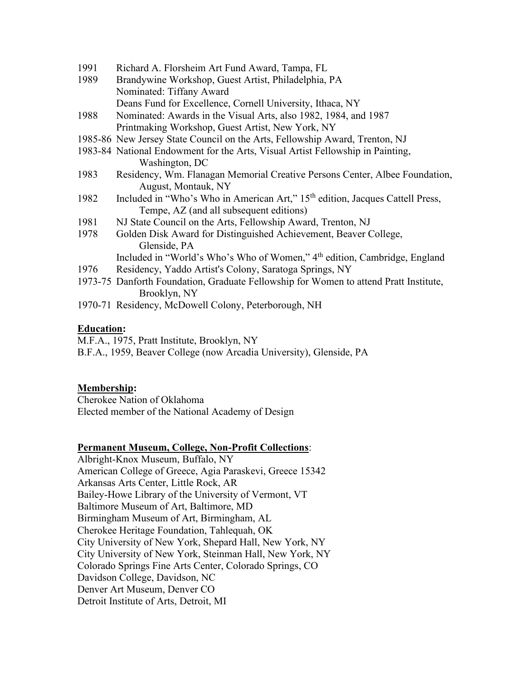- 1991 Richard A. Florsheim Art Fund Award, Tampa, FL
- 1989 Brandywine Workshop, Guest Artist, Philadelphia, PA Nominated: Tiffany Award Deans Fund for Excellence, Cornell University, Ithaca, NY
- 1988 Nominated: Awards in the Visual Arts, also 1982, 1984, and 1987 Printmaking Workshop, Guest Artist, New York, NY
- 1985-86 New Jersey State Council on the Arts, Fellowship Award, Trenton, NJ
- 1983-84 National Endowment for the Arts, Visual Artist Fellowship in Painting, Washington, DC
- 1983 Residency, Wm. Flanagan Memorial Creative Persons Center, Albee Foundation, August, Montauk, NY
- 1982 Included in "Who's Who in American Art," 15<sup>th</sup> edition, Jacques Cattell Press, Tempe, AZ (and all subsequent editions)
- 1981 NJ State Council on the Arts, Fellowship Award, Trenton, NJ
- 1978 Golden Disk Award for Distinguished Achievement, Beaver College, Glenside, PA Included in "World's Who's Who of Women," 4<sup>th</sup> edition, Cambridge, England
- 1976 Residency, Yaddo Artist's Colony, Saratoga Springs, NY
- 1973-75 Danforth Foundation, Graduate Fellowship for Women to attend Pratt Institute, Brooklyn, NY
- 1970-71 Residency, McDowell Colony, Peterborough, NH

## **Education:**

M.F.A., 1975, Pratt Institute, Brooklyn, NY

B.F.A., 1959, Beaver College (now Arcadia University), Glenside, PA

#### **Membership:**

Cherokee Nation of Oklahoma Elected member of the National Academy of Design

#### **Permanent Museum, College, Non-Profit Collections**:

Albright-Knox Museum, Buffalo, NY American College of Greece, Agia Paraskevi, Greece 15342 Arkansas Arts Center, Little Rock, AR Bailey-Howe Library of the University of Vermont, VT Baltimore Museum of Art, Baltimore, MD Birmingham Museum of Art, Birmingham, AL Cherokee Heritage Foundation, Tahlequah, OK City University of New York, Shepard Hall, New York, NY City University of New York, Steinman Hall, New York, NY Colorado Springs Fine Arts Center, Colorado Springs, CO Davidson College, Davidson, NC Denver Art Museum, Denver CO Detroit Institute of Arts, Detroit, MI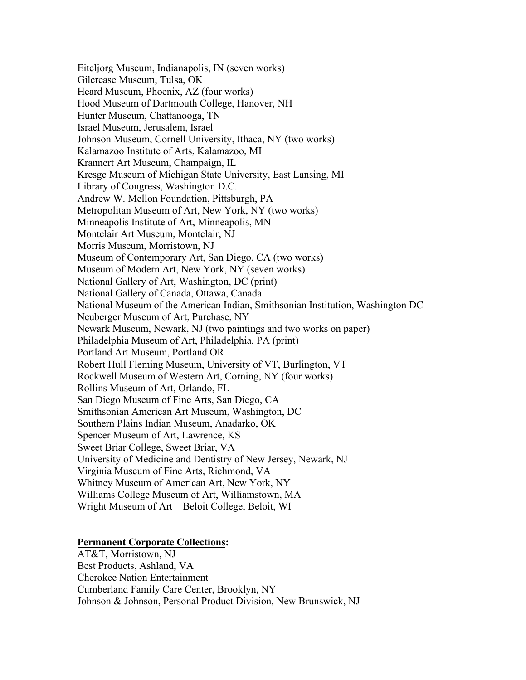Eiteljorg Museum, Indianapolis, IN (seven works) Gilcrease Museum, Tulsa, OK Heard Museum, Phoenix, AZ (four works) Hood Museum of Dartmouth College, Hanover, NH Hunter Museum, Chattanooga, TN Israel Museum, Jerusalem, Israel Johnson Museum, Cornell University, Ithaca, NY (two works) Kalamazoo Institute of Arts, Kalamazoo, MI Krannert Art Museum, Champaign, IL Kresge Museum of Michigan State University, East Lansing, MI Library of Congress, Washington D.C. Andrew W. Mellon Foundation, Pittsburgh, PA Metropolitan Museum of Art, New York, NY (two works) Minneapolis Institute of Art, Minneapolis, MN Montclair Art Museum, Montclair, NJ Morris Museum, Morristown, NJ Museum of Contemporary Art, San Diego, CA (two works) Museum of Modern Art, New York, NY (seven works) National Gallery of Art, Washington, DC (print) National Gallery of Canada, Ottawa, Canada National Museum of the American Indian, Smithsonian Institution, Washington DC Neuberger Museum of Art, Purchase, NY Newark Museum, Newark, NJ (two paintings and two works on paper) Philadelphia Museum of Art, Philadelphia, PA (print) Portland Art Museum, Portland OR Robert Hull Fleming Museum, University of VT, Burlington, VT Rockwell Museum of Western Art, Corning, NY (four works) Rollins Museum of Art, Orlando, FL San Diego Museum of Fine Arts, San Diego, CA Smithsonian American Art Museum, Washington, DC Southern Plains Indian Museum, Anadarko, OK Spencer Museum of Art, Lawrence, KS Sweet Briar College, Sweet Briar, VA University of Medicine and Dentistry of New Jersey, Newark, NJ Virginia Museum of Fine Arts, Richmond, VA Whitney Museum of American Art, New York, NY Williams College Museum of Art, Williamstown, MA Wright Museum of Art – Beloit College, Beloit, WI

## **Permanent Corporate Collections:**

AT&T, Morristown, NJ Best Products, Ashland, VA Cherokee Nation Entertainment Cumberland Family Care Center, Brooklyn, NY Johnson & Johnson, Personal Product Division, New Brunswick, NJ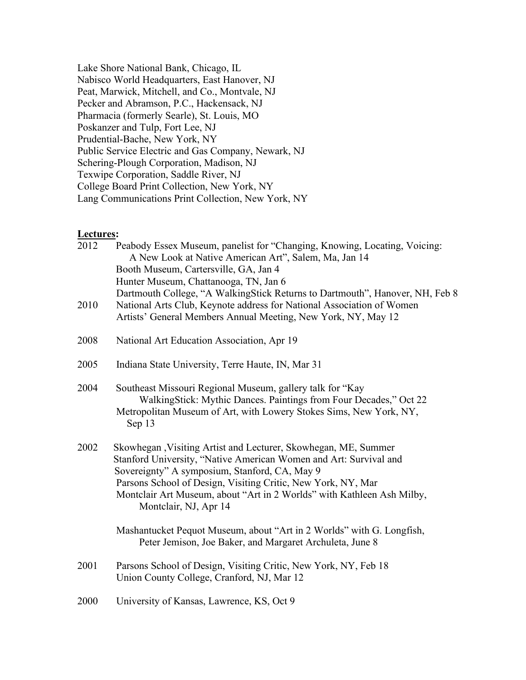Lake Shore National Bank, Chicago, IL Nabisco World Headquarters, East Hanover, NJ Peat, Marwick, Mitchell, and Co., Montvale, NJ Pecker and Abramson, P.C., Hackensack, NJ Pharmacia (formerly Searle), St. Louis, MO Poskanzer and Tulp, Fort Lee, NJ Prudential-Bache, New York, NY Public Service Electric and Gas Company, Newark, NJ Schering-Plough Corporation, Madison, NJ Texwipe Corporation, Saddle River, NJ College Board Print Collection, New York, NY Lang Communications Print Collection, New York, NY

## **Lectures:**

| 2012 | Peabody Essex Museum, panelist for "Changing, Knowing, Locating, Voicing:<br>A New Look at Native American Art", Salem, Ma, Jan 14<br>Booth Museum, Cartersville, GA, Jan 4<br>Hunter Museum, Chattanooga, TN, Jan 6                                                                                                                                    |
|------|---------------------------------------------------------------------------------------------------------------------------------------------------------------------------------------------------------------------------------------------------------------------------------------------------------------------------------------------------------|
| 2010 | Dartmouth College, "A WalkingStick Returns to Dartmouth", Hanover, NH, Feb 8<br>National Arts Club, Keynote address for National Association of Women<br>Artists' General Members Annual Meeting, New York, NY, May 12                                                                                                                                  |
| 2008 | National Art Education Association, Apr 19                                                                                                                                                                                                                                                                                                              |
| 2005 | Indiana State University, Terre Haute, IN, Mar 31                                                                                                                                                                                                                                                                                                       |
| 2004 | Southeast Missouri Regional Museum, gallery talk for "Kay<br>WalkingStick: Mythic Dances. Paintings from Four Decades," Oct 22<br>Metropolitan Museum of Art, with Lowery Stokes Sims, New York, NY,<br>Sep 13                                                                                                                                          |
| 2002 | Skowhegan, Visiting Artist and Lecturer, Skowhegan, ME, Summer<br>Stanford University, "Native American Women and Art: Survival and<br>Sovereignty" A symposium, Stanford, CA, May 9<br>Parsons School of Design, Visiting Critic, New York, NY, Mar<br>Montclair Art Museum, about "Art in 2 Worlds" with Kathleen Ash Milby,<br>Montclair, NJ, Apr 14 |
|      | Mashantucket Pequot Museum, about "Art in 2 Worlds" with G. Longfish,<br>Peter Jemison, Joe Baker, and Margaret Archuleta, June 8                                                                                                                                                                                                                       |
| 2001 | Parsons School of Design, Visiting Critic, New York, NY, Feb 18<br>Union County College, Cranford, NJ, Mar 12                                                                                                                                                                                                                                           |
| 2000 | University of Kansas, Lawrence, KS, Oct 9                                                                                                                                                                                                                                                                                                               |
|      |                                                                                                                                                                                                                                                                                                                                                         |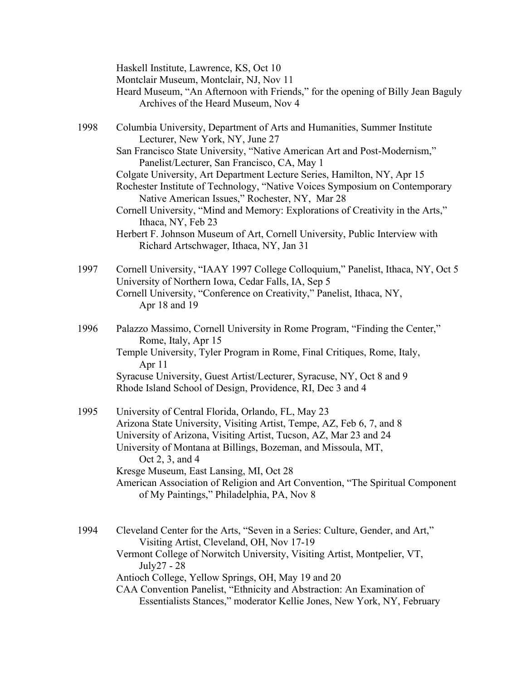|      | Haskell Institute, Lawrence, KS, Oct 10<br>Montclair Museum, Montclair, NJ, Nov 11<br>Heard Museum, "An Afternoon with Friends," for the opening of Billy Jean Baguly<br>Archives of the Heard Museum, Nov 4                                                                                                                                                                                                                                                                                                                                                                                                                                                                          |
|------|---------------------------------------------------------------------------------------------------------------------------------------------------------------------------------------------------------------------------------------------------------------------------------------------------------------------------------------------------------------------------------------------------------------------------------------------------------------------------------------------------------------------------------------------------------------------------------------------------------------------------------------------------------------------------------------|
| 1998 | Columbia University, Department of Arts and Humanities, Summer Institute<br>Lecturer, New York, NY, June 27<br>San Francisco State University, "Native American Art and Post-Modernism,"<br>Panelist/Lecturer, San Francisco, CA, May 1<br>Colgate University, Art Department Lecture Series, Hamilton, NY, Apr 15<br>Rochester Institute of Technology, "Native Voices Symposium on Contemporary<br>Native American Issues," Rochester, NY, Mar 28<br>Cornell University, "Mind and Memory: Explorations of Creativity in the Arts,"<br>Ithaca, NY, Feb 23<br>Herbert F. Johnson Museum of Art, Cornell University, Public Interview with<br>Richard Artschwager, Ithaca, NY, Jan 31 |
| 1997 | Cornell University, "IAAY 1997 College Colloquium," Panelist, Ithaca, NY, Oct 5<br>University of Northern Iowa, Cedar Falls, IA, Sep 5<br>Cornell University, "Conference on Creativity," Panelist, Ithaca, NY,<br>Apr 18 and 19                                                                                                                                                                                                                                                                                                                                                                                                                                                      |
| 1996 | Palazzo Massimo, Cornell University in Rome Program, "Finding the Center,"<br>Rome, Italy, Apr 15<br>Temple University, Tyler Program in Rome, Final Critiques, Rome, Italy,<br>Apr 11<br>Syracuse University, Guest Artist/Lecturer, Syracuse, NY, Oct 8 and 9<br>Rhode Island School of Design, Providence, RI, Dec 3 and 4                                                                                                                                                                                                                                                                                                                                                         |
| 1995 | University of Central Florida, Orlando, FL, May 23<br>Arizona State University, Visiting Artist, Tempe, AZ, Feb 6, 7, and 8<br>University of Arizona, Visiting Artist, Tucson, AZ, Mar 23 and 24<br>University of Montana at Billings, Bozeman, and Missoula, MT,<br>Oct 2, 3, and 4<br>Kresge Museum, East Lansing, MI, Oct 28<br>American Association of Religion and Art Convention, "The Spiritual Component<br>of My Paintings," Philadelphia, PA, Nov 8                                                                                                                                                                                                                         |
| 1994 | Cleveland Center for the Arts, "Seven in a Series: Culture, Gender, and Art,"<br>Visiting Artist, Cleveland, OH, Nov 17-19<br>Vermont College of Norwitch University, Visiting Artist, Montpelier, VT,<br>July27 - 28                                                                                                                                                                                                                                                                                                                                                                                                                                                                 |

Antioch College, Yellow Springs, OH, May 19 and 20

CAA Convention Panelist, "Ethnicity and Abstraction: An Examination of Essentialists Stances," moderator Kellie Jones, New York, NY, February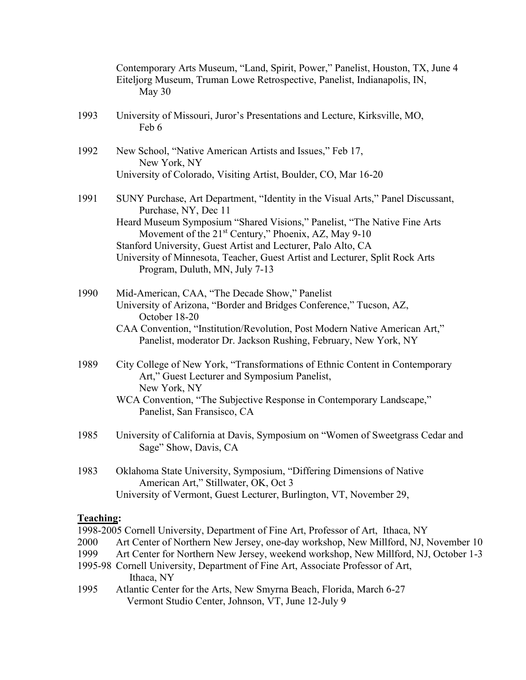|           | Contemporary Arts Museum, "Land, Spirit, Power," Panelist, Houston, TX, June 4<br>Eiteljorg Museum, Truman Lowe Retrospective, Panelist, Indianapolis, IN,<br>May 30 |
|-----------|----------------------------------------------------------------------------------------------------------------------------------------------------------------------|
| 1993      | University of Missouri, Juror's Presentations and Lecture, Kirksville, MO,<br>Feb 6                                                                                  |
| 1992      | New School, "Native American Artists and Issues," Feb 17,<br>New York, NY                                                                                            |
|           | University of Colorado, Visiting Artist, Boulder, CO, Mar 16-20                                                                                                      |
| 1991      | SUNY Purchase, Art Department, "Identity in the Visual Arts," Panel Discussant,<br>Purchase, NY, Dec 11                                                              |
|           | Heard Museum Symposium "Shared Visions," Panelist, "The Native Fine Arts<br>Movement of the 21 <sup>st</sup> Century," Phoenix, AZ, May 9-10                         |
|           | Stanford University, Guest Artist and Lecturer, Palo Alto, CA                                                                                                        |
|           | University of Minnesota, Teacher, Guest Artist and Lecturer, Split Rock Arts<br>Program, Duluth, MN, July 7-13                                                       |
| 1990      | Mid-American, CAA, "The Decade Show," Panelist                                                                                                                       |
|           | University of Arizona, "Border and Bridges Conference," Tucson, AZ,<br>October 18-20                                                                                 |
|           | CAA Convention, "Institution/Revolution, Post Modern Native American Art,"<br>Panelist, moderator Dr. Jackson Rushing, February, New York, NY                        |
| 1989      | City College of New York, "Transformations of Ethnic Content in Contemporary<br>Art," Guest Lecturer and Symposium Panelist,                                         |
|           | New York, NY<br>WCA Convention, "The Subjective Response in Contemporary Landscape,"                                                                                 |
|           | Panelist, San Fransisco, CA                                                                                                                                          |
| 1985      | University of California at Davis, Symposium on "Women of Sweetgrass Cedar and<br>Sage" Show, Davis, CA                                                              |
| 1983      | Oklahoma State University, Symposium, "Differing Dimensions of Native                                                                                                |
|           | American Art," Stillwater, OK, Oct 3<br>University of Vermont, Guest Lecturer, Burlington, VT, November 29,                                                          |
| Teaching: |                                                                                                                                                                      |
|           | 1998-2005 Cornell University, Department of Fine Art, Professor of Art, Ithaca, NY                                                                                   |

- 
- 2000 Art Center of Northern New Jersey, one-day workshop, New Millford, NJ, November 10<br>1999 Art Center for Northern New Jersey, weekend workshop, New Millford, NJ, October 1-3 Art Center for Northern New Jersey, weekend workshop, New Millford, NJ, October 1-3
- 1995-98 Cornell University, Department of Fine Art, Associate Professor of Art, Ithaca, NY
- 1995 Atlantic Center for the Arts, New Smyrna Beach, Florida, March 6-27 Vermont Studio Center, Johnson, VT, June 12-July 9